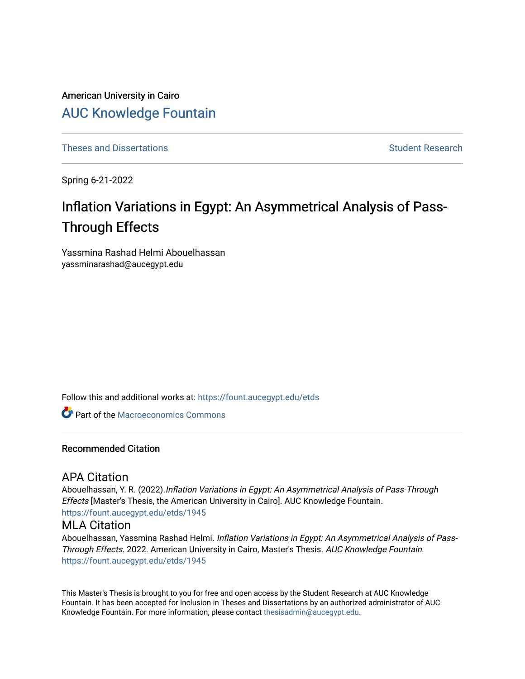American University in Cairo [AUC Knowledge Fountain](https://fount.aucegypt.edu/) 

[Theses and Dissertations](https://fount.aucegypt.edu/etds) [Student Research](https://fount.aucegypt.edu/student_research) Student Research

Spring 6-21-2022

# Inflation Variations in Egypt: An Asymmetrical Analysis of Pass-Through Effects

Yassmina Rashad Helmi Abouelhassan yassminarashad@aucegypt.edu

Follow this and additional works at: [https://fount.aucegypt.edu/etds](https://fount.aucegypt.edu/etds?utm_source=fount.aucegypt.edu%2Fetds%2F1945&utm_medium=PDF&utm_campaign=PDFCoverPages) 

**C** Part of the [Macroeconomics Commons](https://network.bepress.com/hgg/discipline/350?utm_source=fount.aucegypt.edu%2Fetds%2F1945&utm_medium=PDF&utm_campaign=PDFCoverPages)

#### Recommended Citation

### APA Citation

Abouelhassan, Y. R. (2022).Inflation Variations in Egypt: An Asymmetrical Analysis of Pass-Through Effects [Master's Thesis, the American University in Cairo]. AUC Knowledge Fountain. [https://fount.aucegypt.edu/etds/1945](https://fount.aucegypt.edu/etds/1945?utm_source=fount.aucegypt.edu%2Fetds%2F1945&utm_medium=PDF&utm_campaign=PDFCoverPages)

### MLA Citation

Abouelhassan, Yassmina Rashad Helmi. Inflation Variations in Egypt: An Asymmetrical Analysis of Pass-Through Effects. 2022. American University in Cairo, Master's Thesis. AUC Knowledge Fountain. [https://fount.aucegypt.edu/etds/1945](https://fount.aucegypt.edu/etds/1945?utm_source=fount.aucegypt.edu%2Fetds%2F1945&utm_medium=PDF&utm_campaign=PDFCoverPages)

This Master's Thesis is brought to you for free and open access by the Student Research at AUC Knowledge Fountain. It has been accepted for inclusion in Theses and Dissertations by an authorized administrator of AUC Knowledge Fountain. For more information, please contact [thesisadmin@aucegypt.edu.](mailto:thesisadmin@aucegypt.edu)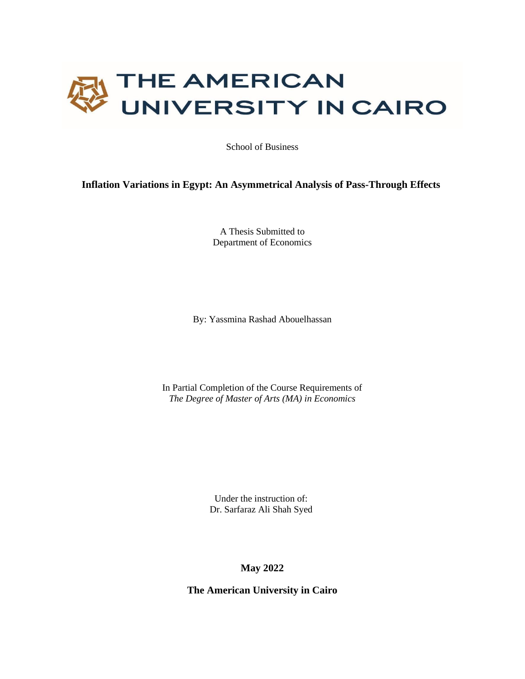

School of Business

### **Inflation Variations in Egypt: An Asymmetrical Analysis of Pass-Through Effects**

A Thesis Submitted to Department of Economics

By: Yassmina Rashad Abouelhassan

In Partial Completion of the Course Requirements of *The Degree of Master of Arts (MA) in Economics*

> Under the instruction of: Dr. Sarfaraz Ali Shah Syed

> > **May 2022**

**The American University in Cairo**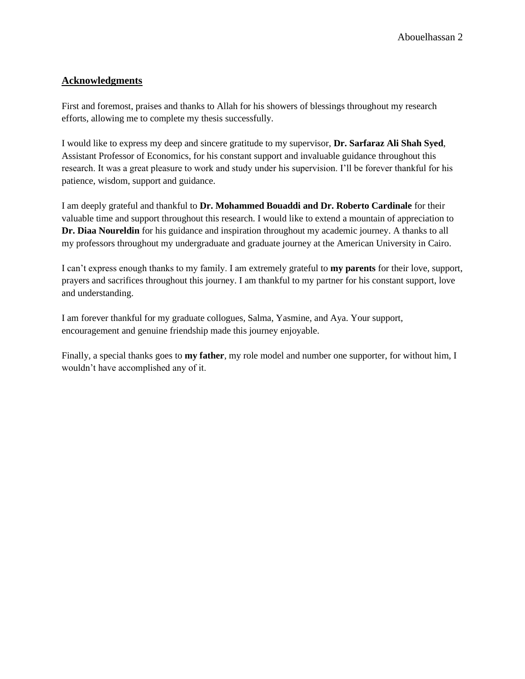### **Acknowledgments**

First and foremost, praises and thanks to Allah for his showers of blessings throughout my research efforts, allowing me to complete my thesis successfully.

I would like to express my deep and sincere gratitude to my supervisor, **Dr. Sarfaraz Ali Shah Syed**, Assistant Professor of Economics, for his constant support and invaluable guidance throughout this research. It was a great pleasure to work and study under his supervision. I'll be forever thankful for his patience, wisdom, support and guidance.

I am deeply grateful and thankful to **Dr. Mohammed Bouaddi and Dr. Roberto Cardinale** for their valuable time and support throughout this research. I would like to extend a mountain of appreciation to **Dr. Diaa Noureldin** for his guidance and inspiration throughout my academic journey. A thanks to all my professors throughout my undergraduate and graduate journey at the American University in Cairo.

I can't express enough thanks to my family. I am extremely grateful to **my parents** for their love, support, prayers and sacrifices throughout this journey. I am thankful to my partner for his constant support, love and understanding.

I am forever thankful for my graduate collogues, Salma, Yasmine, and Aya. Your support, encouragement and genuine friendship made this journey enjoyable.

Finally, a special thanks goes to **my father**, my role model and number one supporter, for without him, I wouldn't have accomplished any of it.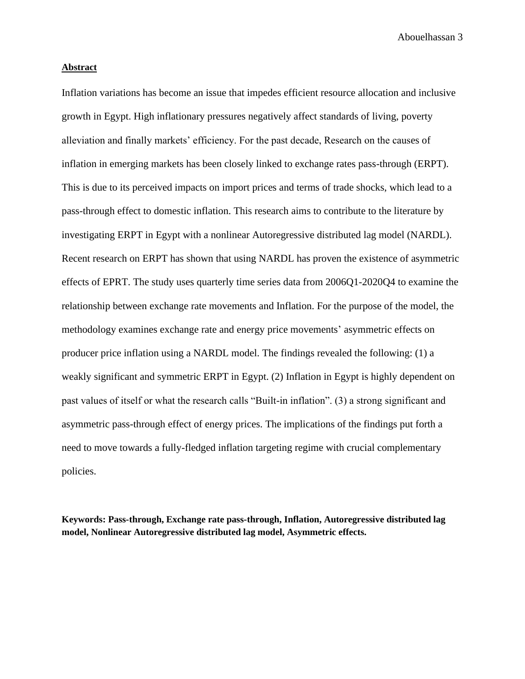#### **Abstract**

Inflation variations has become an issue that impedes efficient resource allocation and inclusive growth in Egypt. High inflationary pressures negatively affect standards of living, poverty alleviation and finally markets' efficiency. For the past decade, Research on the causes of inflation in emerging markets has been closely linked to exchange rates pass-through (ERPT). This is due to its perceived impacts on import prices and terms of trade shocks, which lead to a pass-through effect to domestic inflation. This research aims to contribute to the literature by investigating ERPT in Egypt with a nonlinear Autoregressive distributed lag model (NARDL). Recent research on ERPT has shown that using NARDL has proven the existence of asymmetric effects of EPRT. The study uses quarterly time series data from 2006Q1-2020Q4 to examine the relationship between exchange rate movements and Inflation. For the purpose of the model, the methodology examines exchange rate and energy price movements' asymmetric effects on producer price inflation using a NARDL model. The findings revealed the following: (1) a weakly significant and symmetric ERPT in Egypt. (2) Inflation in Egypt is highly dependent on past values of itself or what the research calls "Built-in inflation". (3) a strong significant and asymmetric pass-through effect of energy prices. The implications of the findings put forth a need to move towards a fully-fledged inflation targeting regime with crucial complementary policies.

**Keywords: Pass-through, Exchange rate pass-through, Inflation, Autoregressive distributed lag model, Nonlinear Autoregressive distributed lag model, Asymmetric effects.**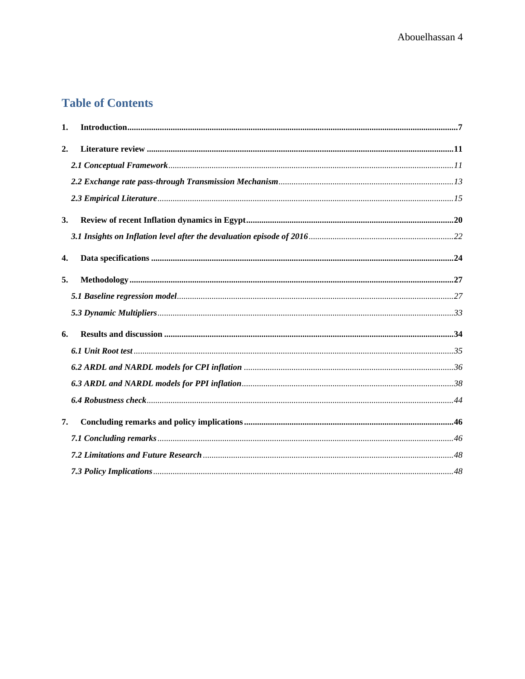## **Table of Contents**

| 1. |  |
|----|--|
| 2. |  |
|    |  |
|    |  |
|    |  |
| 3. |  |
|    |  |
| 4. |  |
| 5. |  |
|    |  |
|    |  |
| 6. |  |
|    |  |
|    |  |
|    |  |
|    |  |
| 7. |  |
|    |  |
|    |  |
|    |  |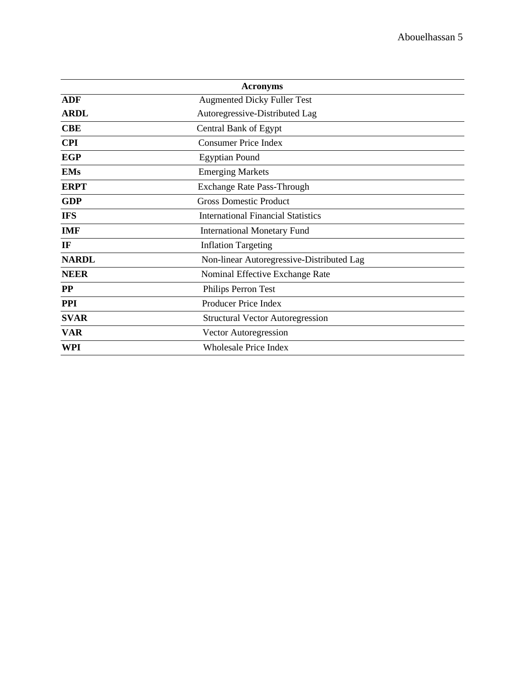|              | <b>Acronyms</b>                           |  |  |  |  |  |  |
|--------------|-------------------------------------------|--|--|--|--|--|--|
| <b>ADF</b>   | <b>Augmented Dicky Fuller Test</b>        |  |  |  |  |  |  |
| <b>ARDL</b>  | Autoregressive-Distributed Lag            |  |  |  |  |  |  |
| <b>CBE</b>   | Central Bank of Egypt                     |  |  |  |  |  |  |
| <b>CPI</b>   | <b>Consumer Price Index</b>               |  |  |  |  |  |  |
| <b>EGP</b>   | <b>Egyptian Pound</b>                     |  |  |  |  |  |  |
| <b>EMs</b>   | <b>Emerging Markets</b>                   |  |  |  |  |  |  |
| <b>ERPT</b>  | Exchange Rate Pass-Through                |  |  |  |  |  |  |
| <b>GDP</b>   | <b>Gross Domestic Product</b>             |  |  |  |  |  |  |
| <b>IFS</b>   | <b>International Financial Statistics</b> |  |  |  |  |  |  |
| <b>IMF</b>   | <b>International Monetary Fund</b>        |  |  |  |  |  |  |
| IF           | <b>Inflation Targeting</b>                |  |  |  |  |  |  |
| <b>NARDL</b> | Non-linear Autoregressive-Distributed Lag |  |  |  |  |  |  |
| <b>NEER</b>  | Nominal Effective Exchange Rate           |  |  |  |  |  |  |
| $\bf PP$     | Philips Perron Test                       |  |  |  |  |  |  |
| <b>PPI</b>   | Producer Price Index                      |  |  |  |  |  |  |
| <b>SVAR</b>  | <b>Structural Vector Autoregression</b>   |  |  |  |  |  |  |
| <b>VAR</b>   | Vector Autoregression                     |  |  |  |  |  |  |
| WPI          | <b>Wholesale Price Index</b>              |  |  |  |  |  |  |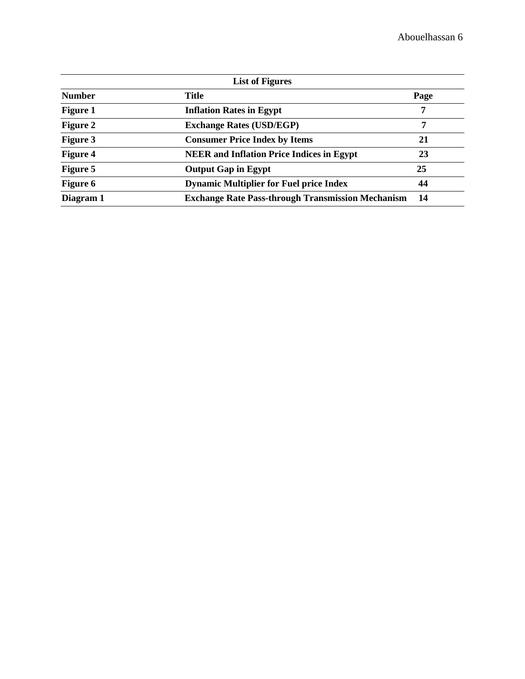| <b>List of Figures</b> |                                                          |      |  |  |  |  |
|------------------------|----------------------------------------------------------|------|--|--|--|--|
| <b>Number</b>          | <b>Title</b>                                             | Page |  |  |  |  |
| <b>Figure 1</b>        | <b>Inflation Rates in Egypt</b>                          | 7    |  |  |  |  |
| <b>Figure 2</b>        | <b>Exchange Rates (USD/EGP)</b>                          | 7    |  |  |  |  |
| <b>Figure 3</b>        | <b>Consumer Price Index by Items</b>                     | 21   |  |  |  |  |
| <b>Figure 4</b>        | <b>NEER</b> and Inflation Price Indices in Egypt         | 23   |  |  |  |  |
| <b>Figure 5</b>        | <b>Output Gap in Egypt</b>                               | 25   |  |  |  |  |
| <b>Figure 6</b>        | <b>Dynamic Multiplier for Fuel price Index</b>           | 44   |  |  |  |  |
| Diagram 1              | <b>Exchange Rate Pass-through Transmission Mechanism</b> | 14   |  |  |  |  |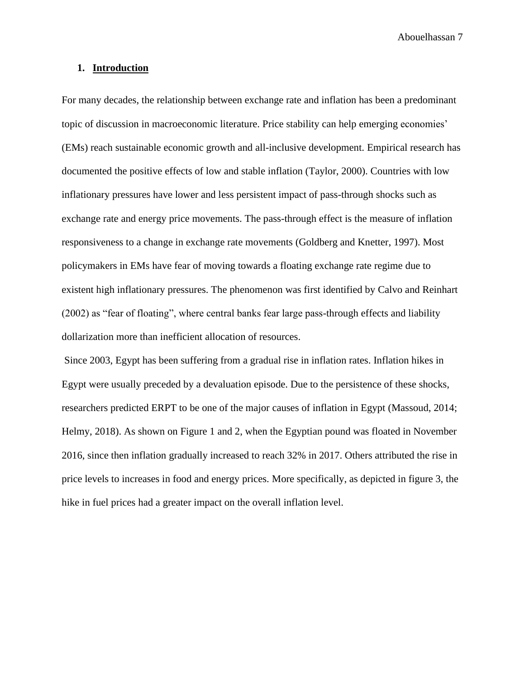### <span id="page-7-0"></span>**1. Introduction**

For many decades, the relationship between exchange rate and inflation has been a predominant topic of discussion in macroeconomic literature. Price stability can help emerging economies' (EMs) reach sustainable economic growth and all-inclusive development. Empirical research has documented the positive effects of low and stable inflation (Taylor, 2000). Countries with low inflationary pressures have lower and less persistent impact of pass-through shocks such as exchange rate and energy price movements. The pass-through effect is the measure of inflation responsiveness to a change in exchange rate movements (Goldberg and Knetter, 1997). Most policymakers in EMs have fear of moving towards a floating exchange rate regime due to existent high inflationary pressures. The phenomenon was first identified by Calvo and Reinhart (2002) as "fear of floating", where central banks fear large pass-through effects and liability dollarization more than inefficient allocation of resources.

Since 2003, Egypt has been suffering from a gradual rise in inflation rates. Inflation hikes in Egypt were usually preceded by a devaluation episode. Due to the persistence of these shocks, researchers predicted ERPT to be one of the major causes of inflation in Egypt (Massoud, 2014; Helmy, 2018). As shown on Figure 1 and 2, when the Egyptian pound was floated in November 2016, since then inflation gradually increased to reach 32% in 2017. Others attributed the rise in price levels to increases in food and energy prices. More specifically, as depicted in figure 3, the hike in fuel prices had a greater impact on the overall inflation level.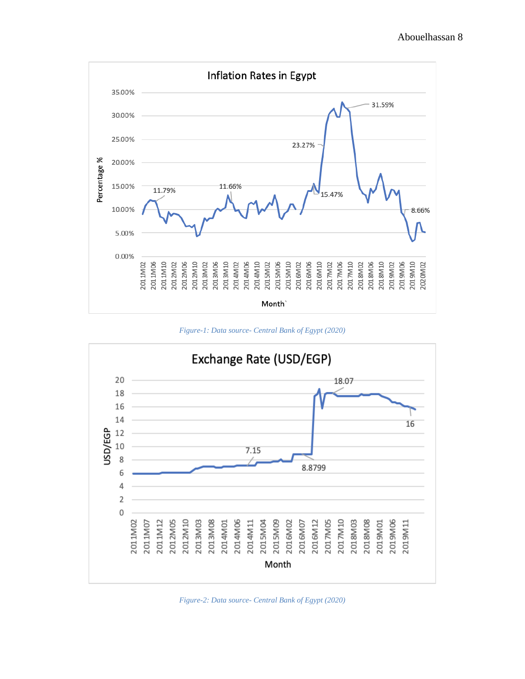

*Figure-1: Data source- Central Bank of Egypt (2020)*



*Figure-2: Data source- Central Bank of Egypt (2020)*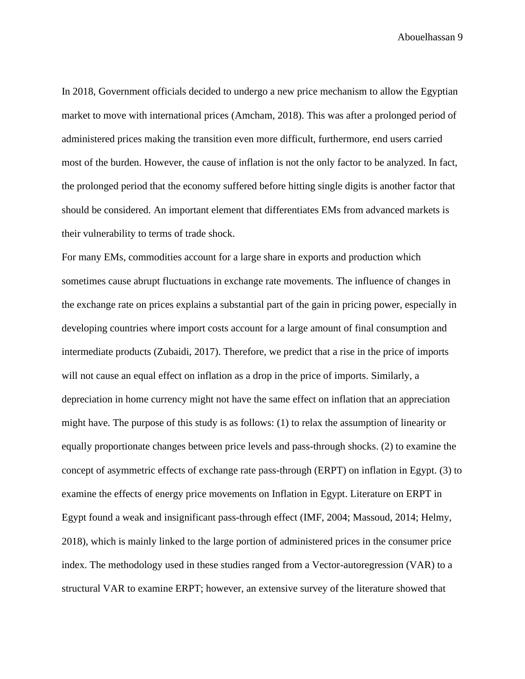In 2018, Government officials decided to undergo a new price mechanism to allow the Egyptian market to move with international prices (Amcham, 2018). This was after a prolonged period of administered prices making the transition even more difficult, furthermore, end users carried most of the burden. However, the cause of inflation is not the only factor to be analyzed. In fact, the prolonged period that the economy suffered before hitting single digits is another factor that should be considered. An important element that differentiates EMs from advanced markets is their vulnerability to terms of trade shock.

For many EMs, commodities account for a large share in exports and production which sometimes cause abrupt fluctuations in exchange rate movements. The influence of changes in the exchange rate on prices explains a substantial part of the gain in pricing power, especially in developing countries where import costs account for a large amount of final consumption and intermediate products (Zubaidi, 2017). Therefore, we predict that a rise in the price of imports will not cause an equal effect on inflation as a drop in the price of imports. Similarly, a depreciation in home currency might not have the same effect on inflation that an appreciation might have. The purpose of this study is as follows: (1) to relax the assumption of linearity or equally proportionate changes between price levels and pass-through shocks. (2) to examine the concept of asymmetric effects of exchange rate pass-through (ERPT) on inflation in Egypt. (3) to examine the effects of energy price movements on Inflation in Egypt. Literature on ERPT in Egypt found a weak and insignificant pass-through effect (IMF, 2004; Massoud, 2014; Helmy, 2018), which is mainly linked to the large portion of administered prices in the consumer price index. The methodology used in these studies ranged from a Vector-autoregression (VAR) to a structural VAR to examine ERPT; however, an extensive survey of the literature showed that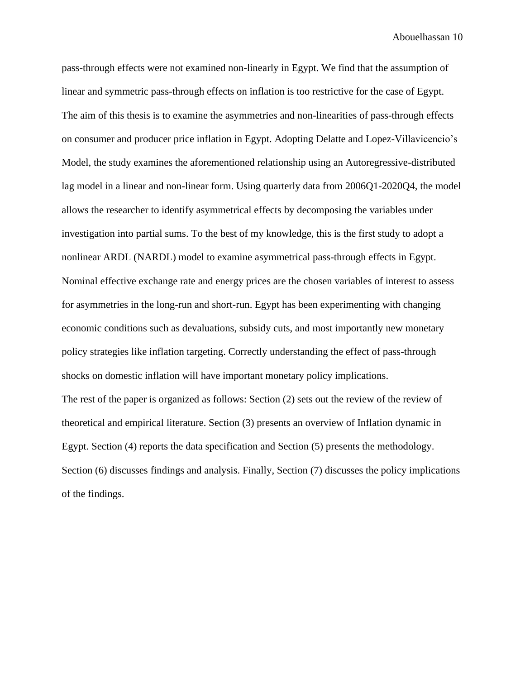pass-through effects were not examined non-linearly in Egypt. We find that the assumption of linear and symmetric pass-through effects on inflation is too restrictive for the case of Egypt. The aim of this thesis is to examine the asymmetries and non-linearities of pass-through effects on consumer and producer price inflation in Egypt. Adopting Delatte and Lopez-Villavicencio's Model, the study examines the aforementioned relationship using an Autoregressive-distributed lag model in a linear and non-linear form. Using quarterly data from 2006Q1-2020Q4, the model allows the researcher to identify asymmetrical effects by decomposing the variables under investigation into partial sums. To the best of my knowledge, this is the first study to adopt a nonlinear ARDL (NARDL) model to examine asymmetrical pass-through effects in Egypt. Nominal effective exchange rate and energy prices are the chosen variables of interest to assess for asymmetries in the long-run and short-run. Egypt has been experimenting with changing economic conditions such as devaluations, subsidy cuts, and most importantly new monetary policy strategies like inflation targeting. Correctly understanding the effect of pass-through shocks on domestic inflation will have important monetary policy implications. The rest of the paper is organized as follows: Section (2) sets out the review of the review of theoretical and empirical literature. Section (3) presents an overview of Inflation dynamic in Egypt. Section (4) reports the data specification and Section (5) presents the methodology. Section (6) discusses findings and analysis. Finally, Section (7) discusses the policy implications of the findings.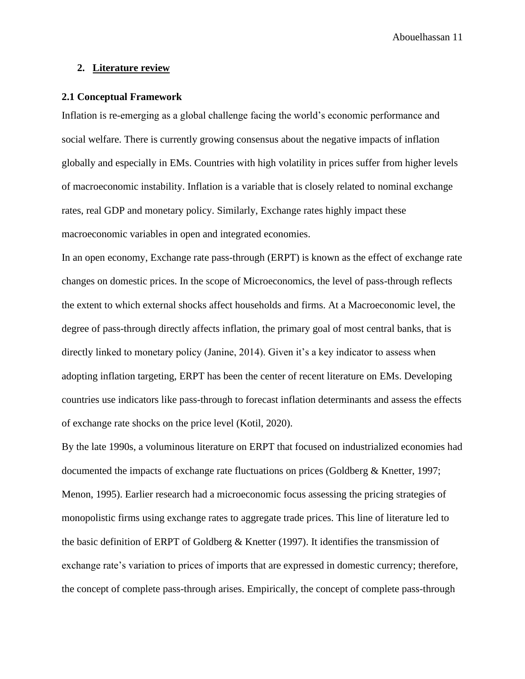### <span id="page-11-0"></span>**2. Literature review**

#### <span id="page-11-1"></span>**2.1 Conceptual Framework**

Inflation is re-emerging as a global challenge facing the world's economic performance and social welfare. There is currently growing consensus about the negative impacts of inflation globally and especially in EMs. Countries with high volatility in prices suffer from higher levels of macroeconomic instability. Inflation is a variable that is closely related to nominal exchange rates, real GDP and monetary policy. Similarly, Exchange rates highly impact these macroeconomic variables in open and integrated economies.

In an open economy, Exchange rate pass-through (ERPT) is known as the effect of exchange rate changes on domestic prices. In the scope of Microeconomics, the level of pass-through reflects the extent to which external shocks affect households and firms. At a Macroeconomic level, the degree of pass-through directly affects inflation, the primary goal of most central banks, that is directly linked to monetary policy (Janine, 2014). Given it's a key indicator to assess when adopting inflation targeting, ERPT has been the center of recent literature on EMs. Developing countries use indicators like pass-through to forecast inflation determinants and assess the effects of exchange rate shocks on the price level (Kotil, 2020).

By the late 1990s, a voluminous literature on ERPT that focused on industrialized economies had documented the impacts of exchange rate fluctuations on prices (Goldberg & Knetter, 1997; Menon, 1995). Earlier research had a microeconomic focus assessing the pricing strategies of monopolistic firms using exchange rates to aggregate trade prices. This line of literature led to the basic definition of ERPT of Goldberg  $\&$  Knetter (1997). It identifies the transmission of exchange rate's variation to prices of imports that are expressed in domestic currency; therefore, the concept of complete pass-through arises. Empirically, the concept of complete pass-through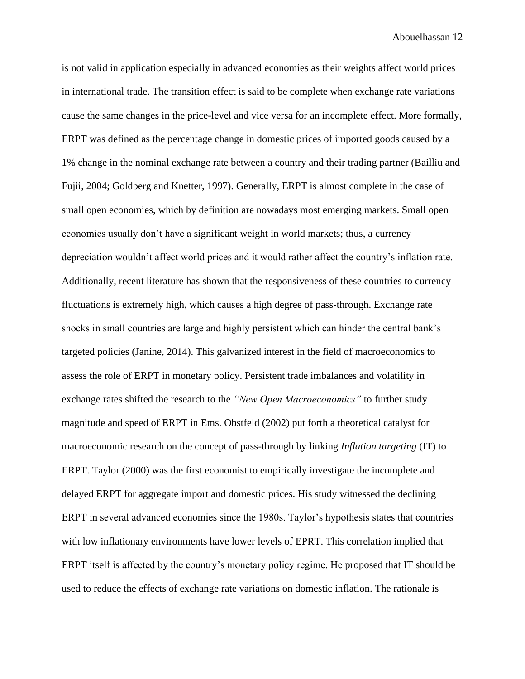is not valid in application especially in advanced economies as their weights affect world prices in international trade. The transition effect is said to be complete when exchange rate variations cause the same changes in the price-level and vice versa for an incomplete effect. More formally, ERPT was defined as the percentage change in domestic prices of imported goods caused by a 1% change in the nominal exchange rate between a country and their trading partner (Bailliu and Fujii, 2004; Goldberg and Knetter, 1997). Generally, ERPT is almost complete in the case of small open economies, which by definition are nowadays most emerging markets. Small open economies usually don't have a significant weight in world markets; thus, a currency depreciation wouldn't affect world prices and it would rather affect the country's inflation rate. Additionally, recent literature has shown that the responsiveness of these countries to currency fluctuations is extremely high, which causes a high degree of pass-through. Exchange rate shocks in small countries are large and highly persistent which can hinder the central bank's targeted policies (Janine, 2014). This galvanized interest in the field of macroeconomics to assess the role of ERPT in monetary policy. Persistent trade imbalances and volatility in exchange rates shifted the research to the *"New Open Macroeconomics"* to further study magnitude and speed of ERPT in Ems. Obstfeld (2002) put forth a theoretical catalyst for macroeconomic research on the concept of pass-through by linking *Inflation targeting* (IT) to ERPT. Taylor (2000) was the first economist to empirically investigate the incomplete and delayed ERPT for aggregate import and domestic prices. His study witnessed the declining ERPT in several advanced economies since the 1980s. Taylor's hypothesis states that countries with low inflationary environments have lower levels of EPRT. This correlation implied that ERPT itself is affected by the country's monetary policy regime. He proposed that IT should be used to reduce the effects of exchange rate variations on domestic inflation. The rationale is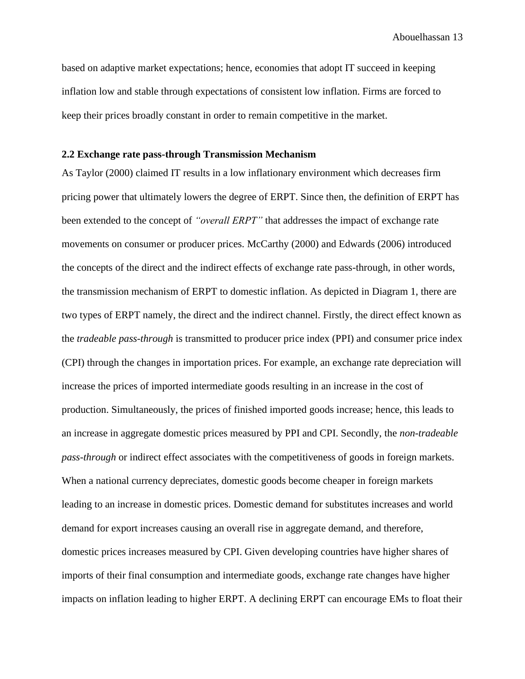based on adaptive market expectations; hence, economies that adopt IT succeed in keeping inflation low and stable through expectations of consistent low inflation. Firms are forced to keep their prices broadly constant in order to remain competitive in the market.

#### <span id="page-13-0"></span>**2.2 Exchange rate pass-through Transmission Mechanism**

As Taylor (2000) claimed IT results in a low inflationary environment which decreases firm pricing power that ultimately lowers the degree of ERPT. Since then, the definition of ERPT has been extended to the concept of *"overall ERPT"* that addresses the impact of exchange rate movements on consumer or producer prices. McCarthy (2000) and Edwards (2006) introduced the concepts of the direct and the indirect effects of exchange rate pass-through, in other words, the transmission mechanism of ERPT to domestic inflation. As depicted in Diagram 1, there are two types of ERPT namely, the direct and the indirect channel. Firstly, the direct effect known as the *tradeable pass-through* is transmitted to producer price index (PPI) and consumer price index (CPI) through the changes in importation prices. For example, an exchange rate depreciation will increase the prices of imported intermediate goods resulting in an increase in the cost of production. Simultaneously, the prices of finished imported goods increase; hence, this leads to an increase in aggregate domestic prices measured by PPI and CPI. Secondly, the *non-tradeable pass-through* or indirect effect associates with the competitiveness of goods in foreign markets. When a national currency depreciates, domestic goods become cheaper in foreign markets leading to an increase in domestic prices. Domestic demand for substitutes increases and world demand for export increases causing an overall rise in aggregate demand, and therefore, domestic prices increases measured by CPI. Given developing countries have higher shares of imports of their final consumption and intermediate goods, exchange rate changes have higher impacts on inflation leading to higher ERPT. A declining ERPT can encourage EMs to float their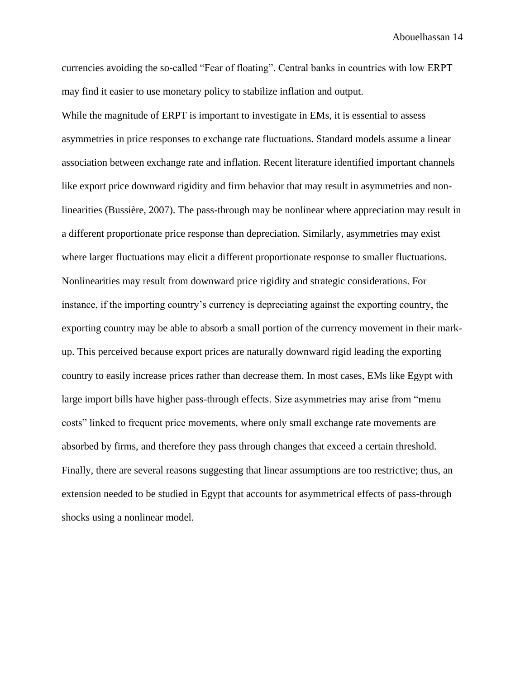currencies avoiding the so-called "Fear of floating". Central banks in countries with low ERPT may find it easier to use monetary policy to stabilize inflation and output.

While the magnitude of ERPT is important to investigate in EMs, it is essential to assess asymmetries in price responses to exchange rate fluctuations. Standard models assume a linear association between exchange rate and inflation. Recent literature identified important channels like export price downward rigidity and firm behavior that may result in asymmetries and nonlinearities (Bussière, 2007). The pass-through may be nonlinear where appreciation may result in a different proportionate price response than depreciation. Similarly, asymmetries may exist where larger fluctuations may elicit a different proportionate response to smaller fluctuations. Nonlinearities may result from downward price rigidity and strategic considerations. For instance, if the importing country's currency is depreciating against the exporting country, the exporting country may be able to absorb a small portion of the currency movement in their markup. This perceived because export prices are naturally downward rigid leading the exporting country to easily increase prices rather than decrease them. In most cases, EMs like Egypt with large import bills have higher pass-through effects. Size asymmetries may arise from "menu costs" linked to frequent price movements, where only small exchange rate movements are absorbed by firms, and therefore they pass through changes that exceed a certain threshold. Finally, there are several reasons suggesting that linear assumptions are too restrictive; thus, an extension needed to be studied in Egypt that accounts for asymmetrical effects of pass-through shocks using a nonlinear model.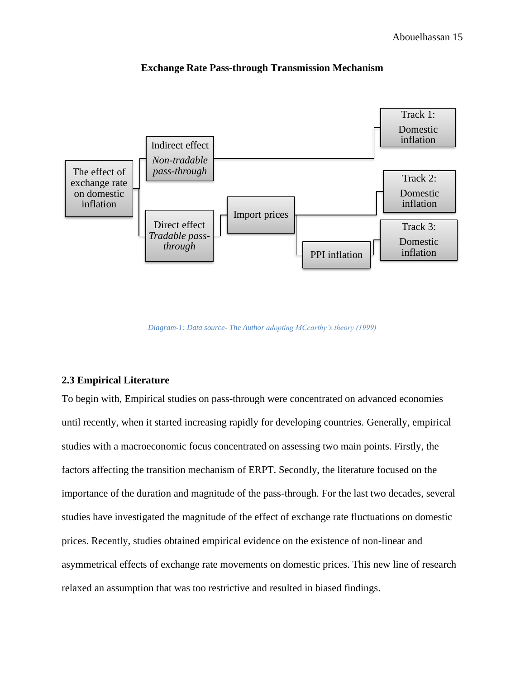

### **Exchange Rate Pass-through Transmission Mechanism**

*Diagram-1: Data source- The Author adopting MCcarthy's theory (1999)*

### <span id="page-15-0"></span>**2.3 Empirical Literature**

To begin with, Empirical studies on pass-through were concentrated on advanced economies until recently, when it started increasing rapidly for developing countries. Generally, empirical studies with a macroeconomic focus concentrated on assessing two main points. Firstly, the factors affecting the transition mechanism of ERPT. Secondly, the literature focused on the importance of the duration and magnitude of the pass-through. For the last two decades, several studies have investigated the magnitude of the effect of exchange rate fluctuations on domestic prices. Recently, studies obtained empirical evidence on the existence of non-linear and asymmetrical effects of exchange rate movements on domestic prices. This new line of research relaxed an assumption that was too restrictive and resulted in biased findings.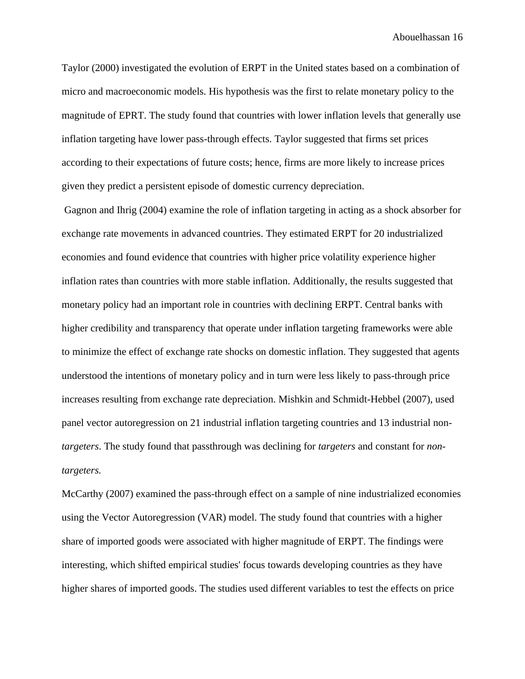Taylor (2000) investigated the evolution of ERPT in the United states based on a combination of micro and macroeconomic models. His hypothesis was the first to relate monetary policy to the magnitude of EPRT. The study found that countries with lower inflation levels that generally use inflation targeting have lower pass-through effects. Taylor suggested that firms set prices according to their expectations of future costs; hence, firms are more likely to increase prices given they predict a persistent episode of domestic currency depreciation.

Gagnon and Ihrig (2004) examine the role of inflation targeting in acting as a shock absorber for exchange rate movements in advanced countries. They estimated ERPT for 20 industrialized economies and found evidence that countries with higher price volatility experience higher inflation rates than countries with more stable inflation. Additionally, the results suggested that monetary policy had an important role in countries with declining ERPT. Central banks with higher credibility and transparency that operate under inflation targeting frameworks were able to minimize the effect of exchange rate shocks on domestic inflation. They suggested that agents understood the intentions of monetary policy and in turn were less likely to pass-through price increases resulting from exchange rate depreciation. Mishkin and Schmidt-Hebbel (2007), used panel vector autoregression on 21 industrial inflation targeting countries and 13 industrial non*targeters*. The study found that passthrough was declining for *targeters* and constant for *nontargeters.*

McCarthy (2007) examined the pass-through effect on a sample of nine industrialized economies using the Vector Autoregression (VAR) model. The study found that countries with a higher share of imported goods were associated with higher magnitude of ERPT. The findings were interesting, which shifted empirical studies' focus towards developing countries as they have higher shares of imported goods. The studies used different variables to test the effects on price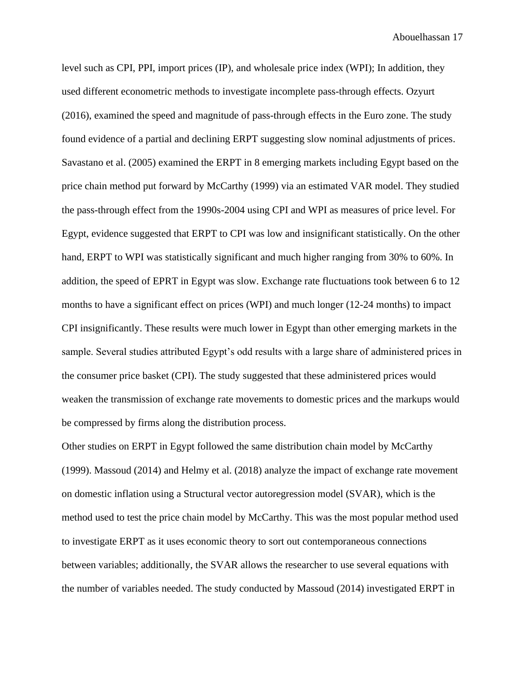level such as CPI, PPI, import prices (IP), and wholesale price index (WPI); In addition, they used different econometric methods to investigate incomplete pass-through effects. Ozyurt (2016), examined the speed and magnitude of pass-through effects in the Euro zone. The study found evidence of a partial and declining ERPT suggesting slow nominal adjustments of prices. Savastano et al. (2005) examined the ERPT in 8 emerging markets including Egypt based on the price chain method put forward by McCarthy (1999) via an estimated VAR model. They studied the pass-through effect from the 1990s-2004 using CPI and WPI as measures of price level. For Egypt, evidence suggested that ERPT to CPI was low and insignificant statistically. On the other hand, ERPT to WPI was statistically significant and much higher ranging from 30% to 60%. In addition, the speed of EPRT in Egypt was slow. Exchange rate fluctuations took between 6 to 12 months to have a significant effect on prices (WPI) and much longer (12-24 months) to impact CPI insignificantly. These results were much lower in Egypt than other emerging markets in the sample. Several studies attributed Egypt's odd results with a large share of administered prices in the consumer price basket (CPI). The study suggested that these administered prices would weaken the transmission of exchange rate movements to domestic prices and the markups would be compressed by firms along the distribution process.

Other studies on ERPT in Egypt followed the same distribution chain model by McCarthy (1999). Massoud (2014) and Helmy et al. (2018) analyze the impact of exchange rate movement on domestic inflation using a Structural vector autoregression model (SVAR), which is the method used to test the price chain model by McCarthy. This was the most popular method used to investigate ERPT as it uses economic theory to sort out contemporaneous connections between variables; additionally, the SVAR allows the researcher to use several equations with the number of variables needed. The study conducted by Massoud (2014) investigated ERPT in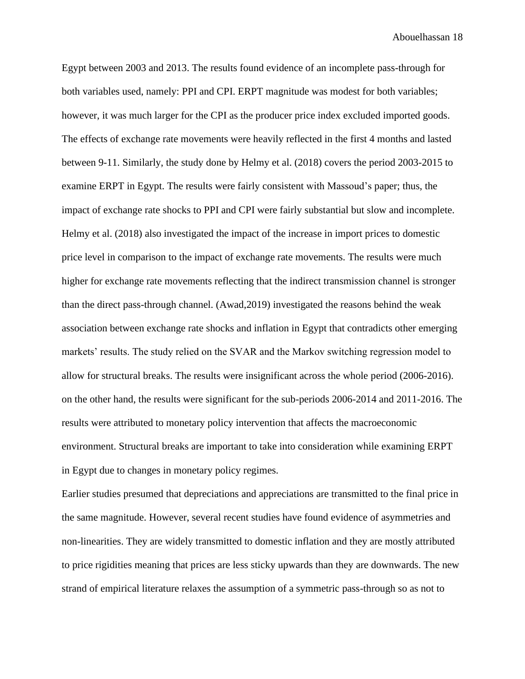Egypt between 2003 and 2013. The results found evidence of an incomplete pass-through for both variables used, namely: PPI and CPI. ERPT magnitude was modest for both variables; however, it was much larger for the CPI as the producer price index excluded imported goods. The effects of exchange rate movements were heavily reflected in the first 4 months and lasted between 9-11. Similarly, the study done by Helmy et al. (2018) covers the period 2003-2015 to examine ERPT in Egypt. The results were fairly consistent with Massoud's paper; thus, the impact of exchange rate shocks to PPI and CPI were fairly substantial but slow and incomplete. Helmy et al. (2018) also investigated the impact of the increase in import prices to domestic price level in comparison to the impact of exchange rate movements. The results were much higher for exchange rate movements reflecting that the indirect transmission channel is stronger than the direct pass-through channel. (Awad,2019) investigated the reasons behind the weak association between exchange rate shocks and inflation in Egypt that contradicts other emerging markets' results. The study relied on the SVAR and the Markov switching regression model to allow for structural breaks. The results were insignificant across the whole period (2006-2016). on the other hand, the results were significant for the sub-periods 2006-2014 and 2011-2016. The results were attributed to monetary policy intervention that affects the macroeconomic environment. Structural breaks are important to take into consideration while examining ERPT in Egypt due to changes in monetary policy regimes.

Earlier studies presumed that depreciations and appreciations are transmitted to the final price in the same magnitude. However, several recent studies have found evidence of asymmetries and non-linearities. They are widely transmitted to domestic inflation and they are mostly attributed to price rigidities meaning that prices are less sticky upwards than they are downwards. The new strand of empirical literature relaxes the assumption of a symmetric pass-through so as not to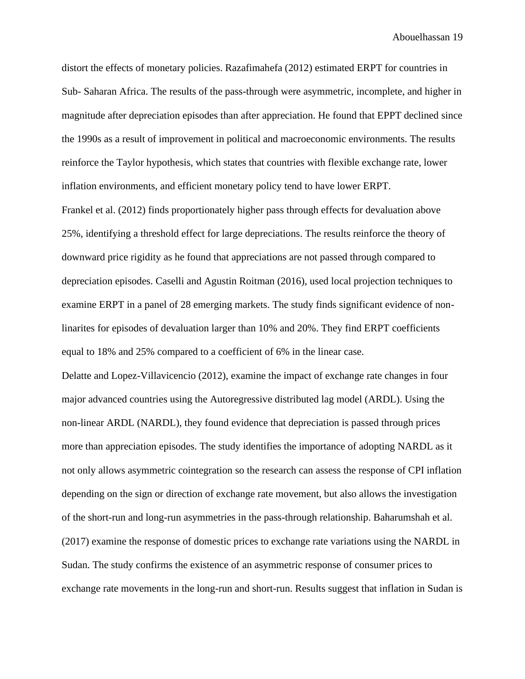distort the effects of monetary policies. Razafimahefa (2012) estimated ERPT for countries in Sub- Saharan Africa. The results of the pass-through were asymmetric, incomplete, and higher in magnitude after depreciation episodes than after appreciation. He found that EPPT declined since the 1990s as a result of improvement in political and macroeconomic environments. The results reinforce the Taylor hypothesis, which states that countries with flexible exchange rate, lower inflation environments, and efficient monetary policy tend to have lower ERPT.

Frankel et al. (2012) finds proportionately higher pass through effects for devaluation above 25%, identifying a threshold effect for large depreciations. The results reinforce the theory of downward price rigidity as he found that appreciations are not passed through compared to depreciation episodes. Caselli and Agustin Roitman (2016), used local projection techniques to examine ERPT in a panel of 28 emerging markets. The study finds significant evidence of nonlinarites for episodes of devaluation larger than 10% and 20%. They find ERPT coefficients equal to 18% and 25% compared to a coefficient of 6% in the linear case.

Delatte and Lopez-Villavicencio (2012), examine the impact of exchange rate changes in four major advanced countries using the Autoregressive distributed lag model (ARDL). Using the non-linear ARDL (NARDL), they found evidence that depreciation is passed through prices more than appreciation episodes. The study identifies the importance of adopting NARDL as it not only allows asymmetric cointegration so the research can assess the response of CPI inflation depending on the sign or direction of exchange rate movement, but also allows the investigation of the short-run and long-run asymmetries in the pass-through relationship. Baharumshah et al. (2017) examine the response of domestic prices to exchange rate variations using the NARDL in Sudan. The study confirms the existence of an asymmetric response of consumer prices to exchange rate movements in the long-run and short-run. Results suggest that inflation in Sudan is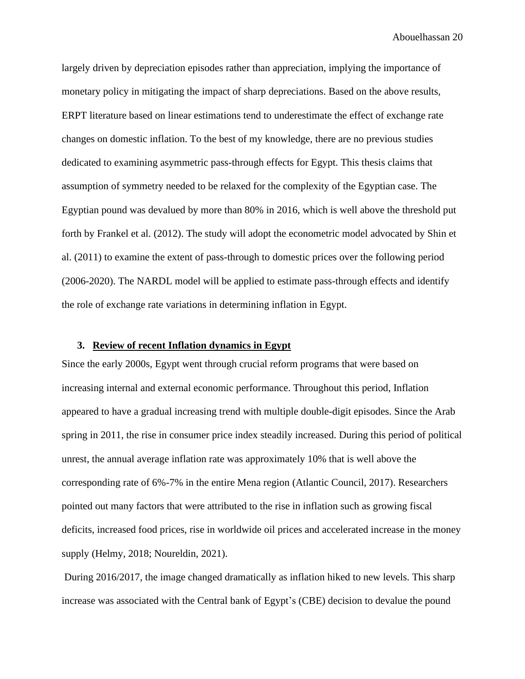largely driven by depreciation episodes rather than appreciation, implying the importance of monetary policy in mitigating the impact of sharp depreciations. Based on the above results, ERPT literature based on linear estimations tend to underestimate the effect of exchange rate changes on domestic inflation. To the best of my knowledge, there are no previous studies dedicated to examining asymmetric pass-through effects for Egypt. This thesis claims that assumption of symmetry needed to be relaxed for the complexity of the Egyptian case. The Egyptian pound was devalued by more than 80% in 2016, which is well above the threshold put forth by Frankel et al. (2012). The study will adopt the econometric model advocated by Shin et al. (2011) to examine the extent of pass-through to domestic prices over the following period (2006-2020). The NARDL model will be applied to estimate pass-through effects and identify the role of exchange rate variations in determining inflation in Egypt.

### <span id="page-20-0"></span>**3. Review of recent Inflation dynamics in Egypt**

Since the early 2000s, Egypt went through crucial reform programs that were based on increasing internal and external economic performance. Throughout this period, Inflation appeared to have a gradual increasing trend with multiple double-digit episodes. Since the Arab spring in 2011, the rise in consumer price index steadily increased. During this period of political unrest, the annual average inflation rate was approximately 10% that is well above the corresponding rate of 6%-7% in the entire Mena region (Atlantic Council, 2017). Researchers pointed out many factors that were attributed to the rise in inflation such as growing fiscal deficits, increased food prices, rise in worldwide oil prices and accelerated increase in the money supply (Helmy, 2018; Noureldin, 2021).

During 2016/2017, the image changed dramatically as inflation hiked to new levels. This sharp increase was associated with the Central bank of Egypt's (CBE) decision to devalue the pound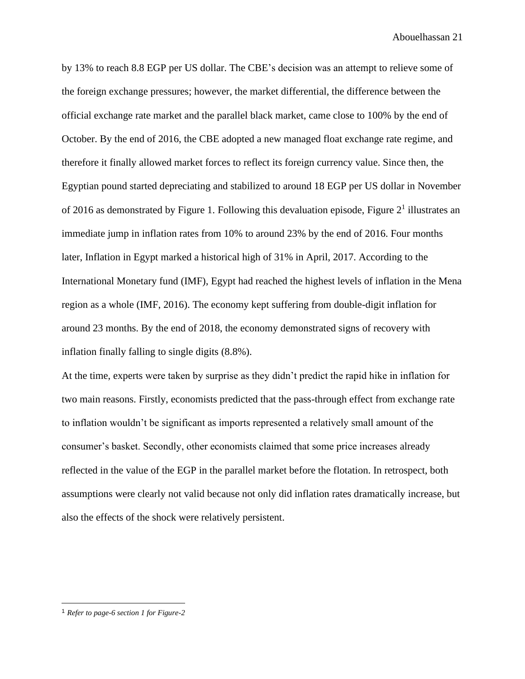by 13% to reach 8.8 EGP per US dollar. The CBE's decision was an attempt to relieve some of the foreign exchange pressures; however, the market differential, the difference between the official exchange rate market and the parallel black market, came close to 100% by the end of October. By the end of 2016, the CBE adopted a new managed float exchange rate regime, and therefore it finally allowed market forces to reflect its foreign currency value. Since then, the Egyptian pound started depreciating and stabilized to around 18 EGP per US dollar in November of 2016 as demonstrated by Figure 1. Following this devaluation episode, Figure  $2<sup>1</sup>$  illustrates an immediate jump in inflation rates from 10% to around 23% by the end of 2016. Four months later, Inflation in Egypt marked a historical high of 31% in April, 2017. According to the International Monetary fund (IMF), Egypt had reached the highest levels of inflation in the Mena region as a whole (IMF, 2016). The economy kept suffering from double-digit inflation for around 23 months. By the end of 2018, the economy demonstrated signs of recovery with inflation finally falling to single digits (8.8%).

At the time, experts were taken by surprise as they didn't predict the rapid hike in inflation for two main reasons. Firstly, economists predicted that the pass-through effect from exchange rate to inflation wouldn't be significant as imports represented a relatively small amount of the consumer's basket. Secondly, other economists claimed that some price increases already reflected in the value of the EGP in the parallel market before the flotation. In retrospect, both assumptions were clearly not valid because not only did inflation rates dramatically increase, but also the effects of the shock were relatively persistent.

<sup>1</sup> *Refer to page-6 section 1 for Figure-2*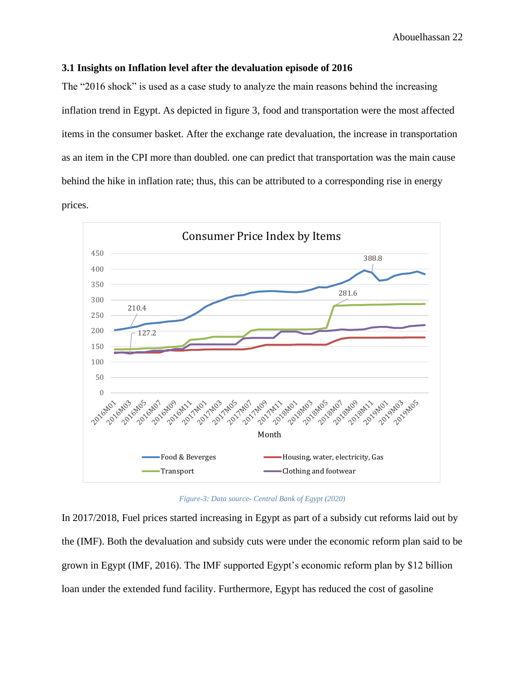### <span id="page-22-0"></span>**3.1 Insights on Inflation level after the devaluation episode of 2016**

The "2016 shock" is used as a case study to analyze the main reasons behind the increasing inflation trend in Egypt. As depicted in figure 3, food and transportation were the most affected items in the consumer basket. After the exchange rate devaluation, the increase in transportation as an item in the CPI more than doubled. one can predict that transportation was the main cause behind the hike in inflation rate; thus, this can be attributed to a corresponding rise in energy prices.



*Figure-3: Data source- Central Bank of Egypt (2020)*

In 2017/2018, Fuel prices started increasing in Egypt as part of a subsidy cut reforms laid out by the (IMF). Both the devaluation and subsidy cuts were under the economic reform plan said to be grown in Egypt (IMF, 2016). The IMF supported Egypt's economic reform plan by \$12 billion loan under the extended fund facility. Furthermore, Egypt has reduced the cost of gasoline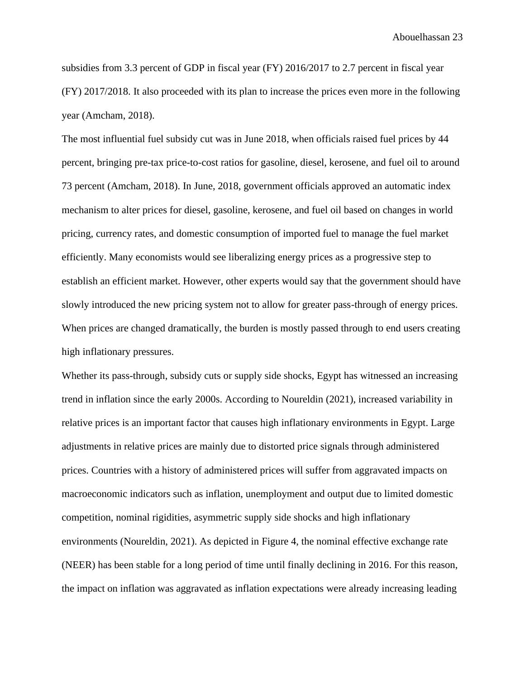subsidies from 3.3 percent of GDP in fiscal year (FY) 2016/2017 to 2.7 percent in fiscal year (FY) 2017/2018. It also proceeded with its plan to increase the prices even more in the following year (Amcham, 2018).

The most influential fuel subsidy cut was in June 2018, when officials raised fuel prices by 44 percent, bringing pre-tax price-to-cost ratios for gasoline, diesel, kerosene, and fuel oil to around 73 percent (Amcham, 2018). In June, 2018, government officials approved an automatic index mechanism to alter prices for diesel, gasoline, kerosene, and fuel oil based on changes in world pricing, currency rates, and domestic consumption of imported fuel to manage the fuel market efficiently. Many economists would see liberalizing energy prices as a progressive step to establish an efficient market. However, other experts would say that the government should have slowly introduced the new pricing system not to allow for greater pass-through of energy prices. When prices are changed dramatically, the burden is mostly passed through to end users creating high inflationary pressures.

Whether its pass-through, subsidy cuts or supply side shocks, Egypt has witnessed an increasing trend in inflation since the early 2000s. According to Noureldin (2021), increased variability in relative prices is an important factor that causes high inflationary environments in Egypt. Large adjustments in relative prices are mainly due to distorted price signals through administered prices. Countries with a history of administered prices will suffer from aggravated impacts on macroeconomic indicators such as inflation, unemployment and output due to limited domestic competition, nominal rigidities, asymmetric supply side shocks and high inflationary environments (Noureldin, 2021). As depicted in Figure 4, the nominal effective exchange rate (NEER) has been stable for a long period of time until finally declining in 2016. For this reason, the impact on inflation was aggravated as inflation expectations were already increasing leading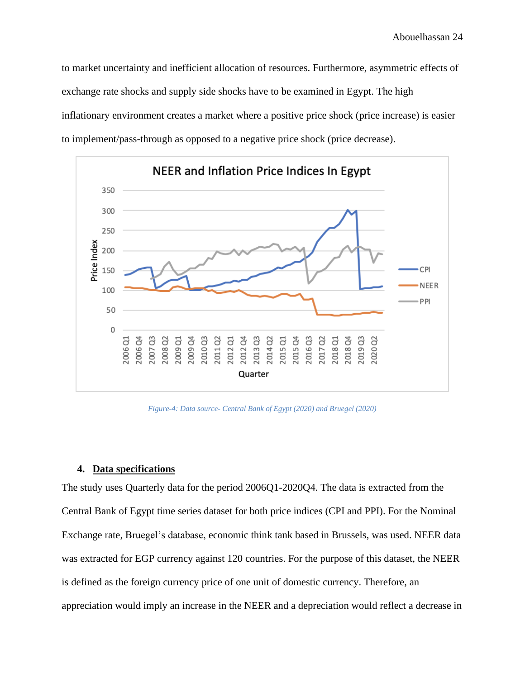to market uncertainty and inefficient allocation of resources. Furthermore, asymmetric effects of exchange rate shocks and supply side shocks have to be examined in Egypt. The high inflationary environment creates a market where a positive price shock (price increase) is easier to implement/pass-through as opposed to a negative price shock (price decrease).



*Figure-4: Data source- Central Bank of Egypt (2020) and Bruegel (2020)*

### <span id="page-24-0"></span>**4. Data specifications**

The study uses Quarterly data for the period 2006Q1-2020Q4. The data is extracted from the Central Bank of Egypt time series dataset for both price indices (CPI and PPI). For the Nominal Exchange rate, Bruegel's database, economic think tank based in Brussels, was used. NEER data was extracted for EGP currency against 120 countries. For the purpose of this dataset, the NEER is defined as the foreign currency price of one unit of domestic currency. Therefore, an appreciation would imply an increase in the NEER and a depreciation would reflect a decrease in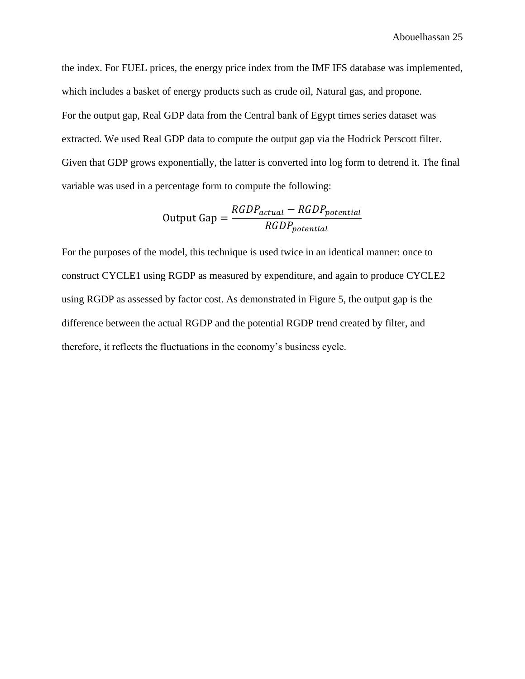the index. For FUEL prices, the energy price index from the IMF IFS database was implemented, which includes a basket of energy products such as crude oil, Natural gas, and propone. For the output gap, Real GDP data from the Central bank of Egypt times series dataset was extracted. We used Real GDP data to compute the output gap via the Hodrick Perscott filter. Given that GDP grows exponentially, the latter is converted into log form to detrend it. The final variable was used in a percentage form to compute the following:

Output Gap = 
$$
\frac{RGDP_{actual} - RGBP_{potential}}{RGDP_{potential}}
$$

For the purposes of the model, this technique is used twice in an identical manner: once to construct CYCLE1 using RGDP as measured by expenditure, and again to produce CYCLE2 using RGDP as assessed by factor cost. As demonstrated in Figure 5, the output gap is the difference between the actual RGDP and the potential RGDP trend created by filter, and therefore, it reflects the fluctuations in the economy's business cycle.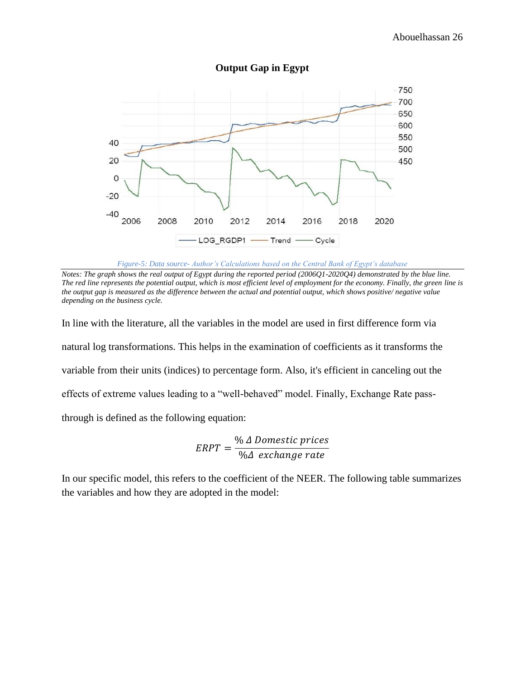

**Output Gap in Egypt**

*Notes: The graph shows the real output of Egypt during the reported period (2006Q1-2020Q4) demonstrated by the blue line. The red line represents the potential output, which is most efficient level of employment for the economy. Finally, the green line is the output gap is measured as the difference between the actual and potential output, which shows positive/ negative value depending on the business cycle.*

In line with the literature, all the variables in the model are used in first difference form via natural log transformations. This helps in the examination of coefficients as it transforms the variable from their units (indices) to percentage form. Also, it's efficient in canceling out the effects of extreme values leading to a "well-behaved" model. Finally, Exchange Rate passthrough is defined as the following equation:

$$
ERPT = \frac{\% \Delta \text{ Domestic prices}}{\% \Delta \text{ exchange rate}}
$$

In our specific model, this refers to the coefficient of the NEER. The following table summarizes the variables and how they are adopted in the model:

*Figure-5: Data source- Author's Calculations based on the Central Bank of Egypt's database*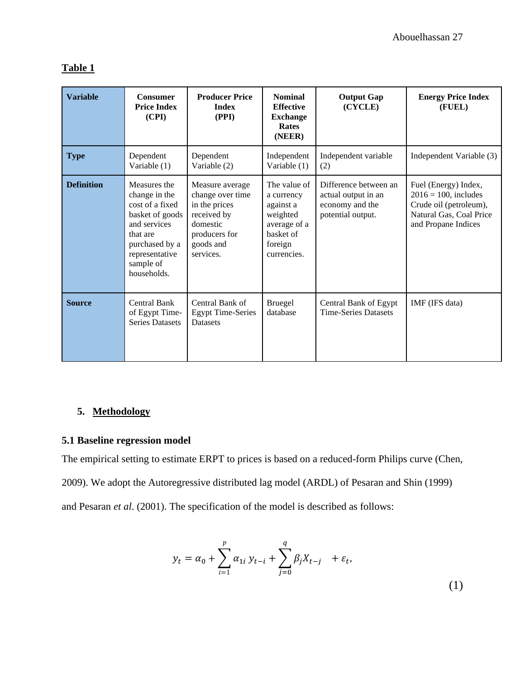### **Table 1**

| <b>Variable</b>   | <b>Consumer</b><br><b>Price Index</b><br>(CPI)                                                                                                                  | <b>Producer Price</b><br><b>Index</b><br>(PPI)                                                                             | <b>Nominal</b><br><b>Effective</b><br><b>Exchange</b><br><b>Rates</b><br>(NEER)                            | <b>Output Gap</b><br>(CYCLE)                                                         | <b>Energy Price Index</b><br>(FUEL)                                                                                         |
|-------------------|-----------------------------------------------------------------------------------------------------------------------------------------------------------------|----------------------------------------------------------------------------------------------------------------------------|------------------------------------------------------------------------------------------------------------|--------------------------------------------------------------------------------------|-----------------------------------------------------------------------------------------------------------------------------|
| <b>Type</b>       | Dependent<br>Variable (1)                                                                                                                                       | Dependent<br>Variable (2)                                                                                                  | Independent<br>Variable $(1)$                                                                              | Independent variable<br>(2)                                                          | Independent Variable (3)                                                                                                    |
| <b>Definition</b> | Measures the<br>change in the<br>cost of a fixed<br>basket of goods<br>and services<br>that are<br>purchased by a<br>representative<br>sample of<br>households. | Measure average<br>change over time<br>in the prices<br>received by<br>domestic<br>producers for<br>goods and<br>services. | The value of<br>a currency<br>against a<br>weighted<br>average of a<br>basket of<br>foreign<br>currencies. | Difference between an<br>actual output in an<br>economy and the<br>potential output. | Fuel (Energy) Index,<br>$2016 = 100$ , includes<br>Crude oil (petroleum),<br>Natural Gas, Coal Price<br>and Propane Indices |
| <b>Source</b>     | <b>Central Bank</b><br>of Egypt Time-<br><b>Series Datasets</b>                                                                                                 | Central Bank of<br><b>Egypt Time-Series</b><br><b>Datasets</b>                                                             | <b>Bruegel</b><br>database                                                                                 | Central Bank of Egypt<br><b>Time-Series Datasets</b>                                 | IMF (IFS data)                                                                                                              |

### <span id="page-27-0"></span>**5. Methodology**

### <span id="page-27-1"></span>**5.1 Baseline regression model**

The empirical setting to estimate ERPT to prices is based on a reduced-form Philips curve (Chen,

2009). We adopt the Autoregressive distributed lag model (ARDL) of Pesaran and Shin (1999)

and Pesaran *et al*. (2001). The specification of the model is described as follows:

$$
y_{t} = \alpha_{0} + \sum_{i=1}^{p} \alpha_{1i} y_{t-i} + \sum_{j=0}^{q} \beta_{j} X_{t-j} + \varepsilon_{t},
$$
\n(1)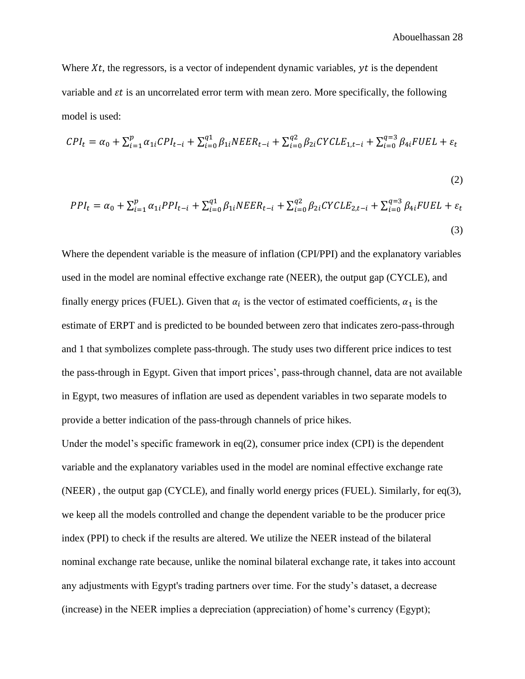Where  $Xt$ , the regressors, is a vector of independent dynamic variables,  $yt$  is the dependent variable and  $\varepsilon t$  is an uncorrelated error term with mean zero. More specifically, the following model is used:

$$
CPI_t = \alpha_0 + \sum_{i=1}^p \alpha_{1i} CPI_{t-i} + \sum_{i=0}^{q_1} \beta_{1i} N EER_{t-i} + \sum_{i=0}^{q_2} \beta_{2i} CYCLE_{1,t-i} + \sum_{i=0}^{q_3} \beta_{4i} FUEL + \varepsilon_t
$$

$$
(2)
$$

$$
PPI_{t} = \alpha_{0} + \sum_{i=1}^{p} \alpha_{1i} PPI_{t-i} + \sum_{i=0}^{q1} \beta_{1i} N EER_{t-i} + \sum_{i=0}^{q2} \beta_{2i} CYCLE_{2,t-i} + \sum_{i=0}^{q=3} \beta_{4i} FUEL + \varepsilon_{t}
$$
\n(3)

Where the dependent variable is the measure of inflation (CPI/PPI) and the explanatory variables used in the model are nominal effective exchange rate (NEER), the output gap (CYCLE), and finally energy prices (FUEL). Given that  $\alpha_i$  is the vector of estimated coefficients,  $\alpha_1$  is the estimate of ERPT and is predicted to be bounded between zero that indicates zero-pass-through and 1 that symbolizes complete pass-through. The study uses two different price indices to test the pass-through in Egypt. Given that import prices', pass-through channel, data are not available in Egypt, two measures of inflation are used as dependent variables in two separate models to provide a better indication of the pass-through channels of price hikes.

Under the model's specific framework in eq(2), consumer price index (CPI) is the dependent variable and the explanatory variables used in the model are nominal effective exchange rate (NEER) , the output gap (CYCLE), and finally world energy prices (FUEL). Similarly, for eq(3), we keep all the models controlled and change the dependent variable to be the producer price index (PPI) to check if the results are altered. We utilize the NEER instead of the bilateral nominal exchange rate because, unlike the nominal bilateral exchange rate, it takes into account any adjustments with Egypt's trading partners over time. For the study's dataset, a decrease (increase) in the NEER implies a depreciation (appreciation) of home's currency (Egypt);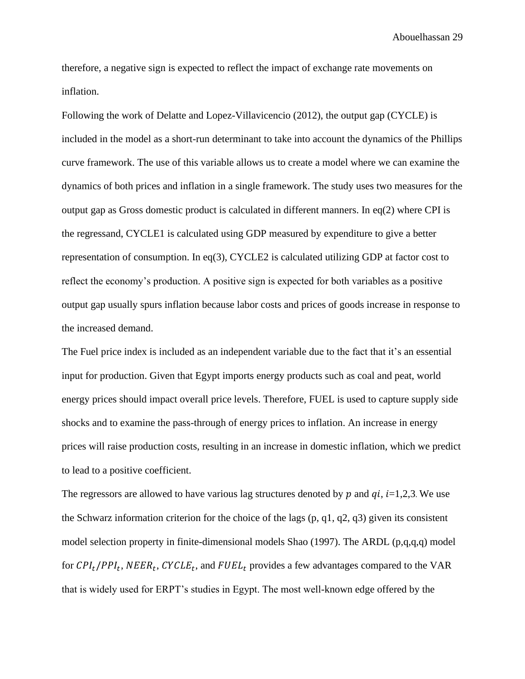therefore, a negative sign is expected to reflect the impact of exchange rate movements on inflation.

Following the work of Delatte and Lopez-Villavicencio (2012), the output gap (CYCLE) is included in the model as a short-run determinant to take into account the dynamics of the Phillips curve framework. The use of this variable allows us to create a model where we can examine the dynamics of both prices and inflation in a single framework. The study uses two measures for the output gap as Gross domestic product is calculated in different manners. In eq(2) where CPI is the regressand, CYCLE1 is calculated using GDP measured by expenditure to give a better representation of consumption. In eq(3), CYCLE2 is calculated utilizing GDP at factor cost to reflect the economy's production. A positive sign is expected for both variables as a positive output gap usually spurs inflation because labor costs and prices of goods increase in response to the increased demand.

The Fuel price index is included as an independent variable due to the fact that it's an essential input for production. Given that Egypt imports energy products such as coal and peat, world energy prices should impact overall price levels. Therefore, FUEL is used to capture supply side shocks and to examine the pass-through of energy prices to inflation. An increase in energy prices will raise production costs, resulting in an increase in domestic inflation, which we predict to lead to a positive coefficient.

The regressors are allowed to have various lag structures denoted by  $p$  and  $qi$ ,  $i=1,2,3$ . We use the Schwarz information criterion for the choice of the lags (p, q1, q2, q3) given its consistent model selection property in finite-dimensional models Shao (1997). The ARDL (p,q,q,q) model for  $\text{CPI}_t / \text{PPI}_t$ ,  $\text{NEER}_t$ ,  $\text{CYCLE}_t$ , and  $\text{FUEL}_t$  provides a few advantages compared to the VAR that is widely used for ERPT's studies in Egypt. The most well-known edge offered by the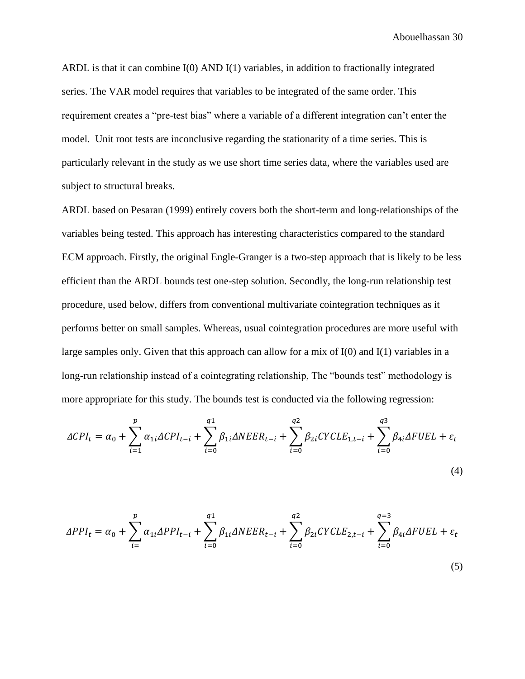ARDL is that it can combine I(0) AND I(1) variables, in addition to fractionally integrated series. The VAR model requires that variables to be integrated of the same order. This requirement creates a "pre-test bias" where a variable of a different integration can't enter the model. Unit root tests are inconclusive regarding the stationarity of a time series. This is particularly relevant in the study as we use short time series data, where the variables used are subject to structural breaks.

ARDL based on Pesaran (1999) entirely covers both the short-term and long-relationships of the variables being tested. This approach has interesting characteristics compared to the standard ECM approach. Firstly, the original Engle-Granger is a two-step approach that is likely to be less efficient than the ARDL bounds test one-step solution. Secondly, the long-run relationship test procedure, used below, differs from conventional multivariate cointegration techniques as it performs better on small samples. Whereas, usual cointegration procedures are more useful with large samples only. Given that this approach can allow for a mix of I(0) and I(1) variables in a long-run relationship instead of a cointegrating relationship, The "bounds test" methodology is more appropriate for this study. The bounds test is conducted via the following regression:

$$
\Delta CPI_t = \alpha_0 + \sum_{i=1}^p \alpha_{1i} \Delta CPI_{t-i} + \sum_{i=0}^{q1} \beta_{1i} \Delta NEER_{t-i} + \sum_{i=0}^{q2} \beta_{2i} CYCLE_{1,t-i} + \sum_{i=0}^{q3} \beta_{4i} \Delta FUEL + \varepsilon_t
$$

$$
(\mathbf{4})
$$

$$
\Delta PPI_t = \alpha_0 + \sum_{i=1}^p \alpha_{1i} \Delta PPI_{t-i} + \sum_{i=0}^{q_1} \beta_{1i} \Delta N EER_{t-i} + \sum_{i=0}^{q_2} \beta_{2i} CYCLE_{2,t-i} + \sum_{i=0}^{q_3} \beta_{4i} \Delta FUEL + \varepsilon_t
$$
\n(5)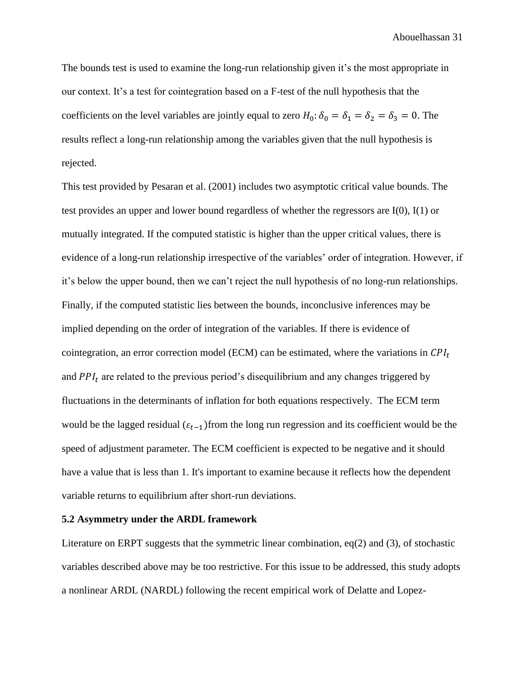The bounds test is used to examine the long-run relationship given it's the most appropriate in our context. It's a test for cointegration based on a F-test of the null hypothesis that the coefficients on the level variables are jointly equal to zero  $H_0: \delta_0 = \delta_1 = \delta_2 = \delta_3 = 0$ . The results reflect a long-run relationship among the variables given that the null hypothesis is rejected.

This test provided by Pesaran et al. (2001) includes two asymptotic critical value bounds. The test provides an upper and lower bound regardless of whether the regressors are  $I(0)$ ,  $I(1)$  or mutually integrated. If the computed statistic is higher than the upper critical values, there is evidence of a long-run relationship irrespective of the variables' order of integration. However, if it's below the upper bound, then we can't reject the null hypothesis of no long-run relationships. Finally, if the computed statistic lies between the bounds, inconclusive inferences may be implied depending on the order of integration of the variables. If there is evidence of cointegration, an error correction model (ECM) can be estimated, where the variations in  $\mathcal{CPI}_t$ and  $PPI_t$  are related to the previous period's disequilibrium and any changes triggered by fluctuations in the determinants of inflation for both equations respectively. The ECM term would be the lagged residual ( $\varepsilon_{t-1}$ )from the long run regression and its coefficient would be the speed of adjustment parameter. The ECM coefficient is expected to be negative and it should have a value that is less than 1. It's important to examine because it reflects how the dependent variable returns to equilibrium after short-run deviations.

#### **5.2 Asymmetry under the ARDL framework**

Literature on ERPT suggests that the symmetric linear combination,  $eq(2)$  and (3), of stochastic variables described above may be too restrictive. For this issue to be addressed, this study adopts a nonlinear ARDL (NARDL) following the recent empirical work of Delatte and Lopez-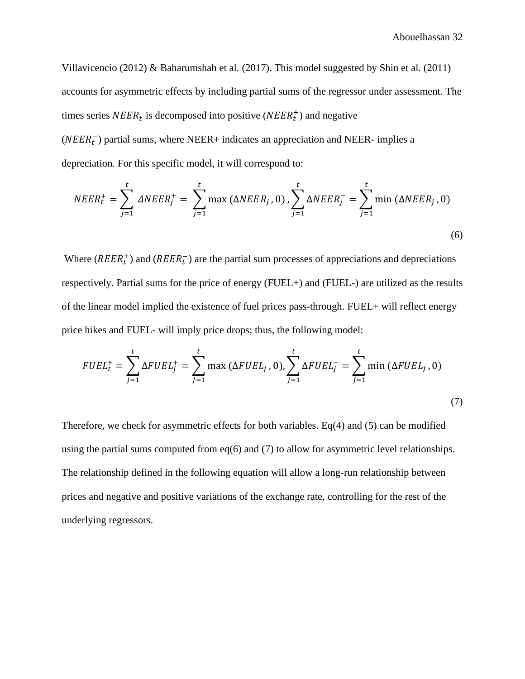Villavicencio (2012) & Baharumshah et al. (2017). This model suggested by Shin et al. (2011) accounts for asymmetric effects by including partial sums of the regressor under assessment. The times series  $NEER_t$  is decomposed into positive ( $NEER_t^+$ ) and negative ( $NEER<sub>t</sub><sup>-</sup>$ ) partial sums, where NEER+ indicates an appreciation and NEER- implies a

depreciation. For this specific model, it will correspond to:

$$
NEER_t^+ = \sum_{j=1}^t \Delta NEER_j^+ = \sum_{j=1}^t \max(\Delta NEER_j, 0), \sum_{j=1}^t \Delta NEER_j^- = \sum_{j=1}^t \min(\Delta NEER_j, 0)
$$
\n(6)

Where ( $REER_t^+$ ) and ( $REER_t^-$ ) are the partial sum processes of appreciations and depreciations respectively. Partial sums for the price of energy (FUEL+) and (FUEL-) are utilized as the results of the linear model implied the existence of fuel prices pass-through. FUEL+ will reflect energy price hikes and FUEL- will imply price drops; thus, the following model:

$$
FUEL_{t}^{+} = \sum_{j=1}^{t} \Delta FUEL_{j}^{+} = \sum_{j=1}^{t} \max (\Delta FUEL_{j}, 0), \sum_{j=1}^{t} \Delta FUEL_{j}^{-} = \sum_{j=1}^{t} \min (\Delta FUEL_{j}, 0)
$$
\n(7)

Therefore, we check for asymmetric effects for both variables. Eq(4) and (5) can be modified using the partial sums computed from eq(6) and (7) to allow for asymmetric level relationships. The relationship defined in the following equation will allow a long-run relationship between prices and negative and positive variations of the exchange rate, controlling for the rest of the underlying regressors.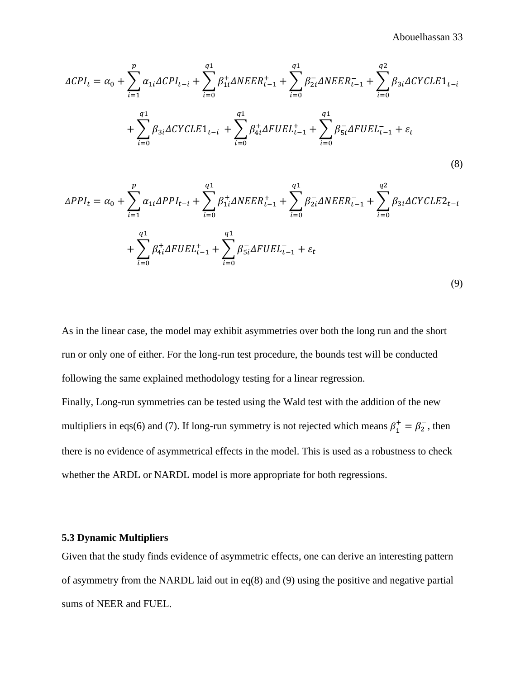$$
\Delta CPI_{t} = \alpha_{0} + \sum_{i=1}^{p} \alpha_{1i} \Delta CPI_{t-i} + \sum_{i=0}^{q1} \beta_{1i}^{+} \Delta NEER_{t-1}^{+} + \sum_{i=0}^{q1} \beta_{2i}^{-} \Delta NEER_{t-1}^{-} + \sum_{i=0}^{q2} \beta_{3i} \Delta CYCLE1_{t-i} + \sum_{i=0}^{q1} \beta_{4i}^{-} \Delta FUEL_{t-1}^{+} + \sum_{i=0}^{q1} \beta_{5i}^{-} \Delta FUEL_{t-1}^{-} + \varepsilon_{t}
$$
\n(8)

$$
\Delta PPI_{t} = \alpha_{0} + \sum_{i=1}^{p} \alpha_{1i} \Delta PPI_{t-i} + \sum_{i=0}^{q1} \beta_{1i}^{+} \Delta NEER_{t-1}^{+} + \sum_{i=0}^{q1} \beta_{2i}^{-} \Delta NEER_{t-1}^{-} + \sum_{i=0}^{q2} \beta_{3i} \Delta CYCLE2_{t-i} + \sum_{i=0}^{q1} \beta_{4i}^{+} \Delta FUEL_{t-1}^{+} + \sum_{i=0}^{q1} \beta_{5i}^{-} \Delta FUEL_{t-1}^{-} + \varepsilon_{t}
$$
\n(9)

As in the linear case, the model may exhibit asymmetries over both the long run and the short run or only one of either. For the long-run test procedure, the bounds test will be conducted following the same explained methodology testing for a linear regression.

Finally, Long-run symmetries can be tested using the Wald test with the addition of the new multipliers in eqs(6) and (7). If long-run symmetry is not rejected which means  $\beta_1^+ = \beta_2^-$ , then there is no evidence of asymmetrical effects in the model. This is used as a robustness to check whether the ARDL or NARDL model is more appropriate for both regressions.

### <span id="page-33-0"></span>**5.3 Dynamic Multipliers**

Given that the study finds evidence of asymmetric effects, one can derive an interesting pattern of asymmetry from the NARDL laid out in eq(8) and (9) using the positive and negative partial sums of NEER and FUEL.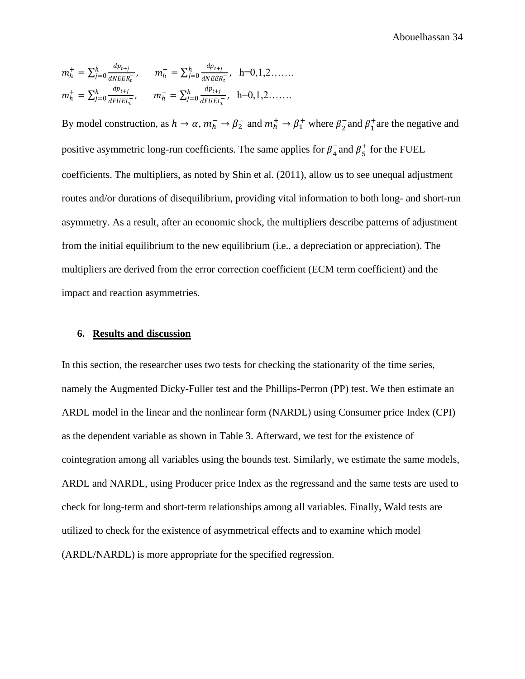$$
m_h^+ = \sum_{j=0}^h \frac{dp_{t+j}}{dNEER_t^+}, \qquad m_h^- = \sum_{j=0}^h \frac{dp_{t+j}}{dNEER_t^-}, \quad h=0,1,2.\dots
$$
  

$$
m_h^+ = \sum_{j=0}^h \frac{dp_{t+j}}{dFUE_t^+}, \qquad m_h^- = \sum_{j=0}^h \frac{dp_{t+j}}{dFUE_t^-}, \quad h=0,1,2.\dots
$$

By model construction, as  $h \to \alpha$ ,  $m_h^- \to \beta_2^-$  and  $m_h^+ \to \beta_1^+$  where  $\beta_2^-$  and  $\beta_1^+$  are the negative and positive asymmetric long-run coefficients. The same applies for  $\beta_4^-$  and  $\beta_5^+$  for the FUEL coefficients. The multipliers, as noted by Shin et al. (2011), allow us to see unequal adjustment routes and/or durations of disequilibrium, providing vital information to both long- and short-run asymmetry. As a result, after an economic shock, the multipliers describe patterns of adjustment from the initial equilibrium to the new equilibrium (i.e., a depreciation or appreciation). The multipliers are derived from the error correction coefficient (ECM term coefficient) and the impact and reaction asymmetries.

### <span id="page-34-0"></span>**6. Results and discussion**

In this section, the researcher uses two tests for checking the stationarity of the time series, namely the Augmented Dicky-Fuller test and the Phillips-Perron (PP) test. We then estimate an ARDL model in the linear and the nonlinear form (NARDL) using Consumer price Index (CPI) as the dependent variable as shown in Table 3. Afterward, we test for the existence of cointegration among all variables using the bounds test. Similarly, we estimate the same models, ARDL and NARDL, using Producer price Index as the regressand and the same tests are used to check for long-term and short-term relationships among all variables. Finally, Wald tests are utilized to check for the existence of asymmetrical effects and to examine which model (ARDL/NARDL) is more appropriate for the specified regression.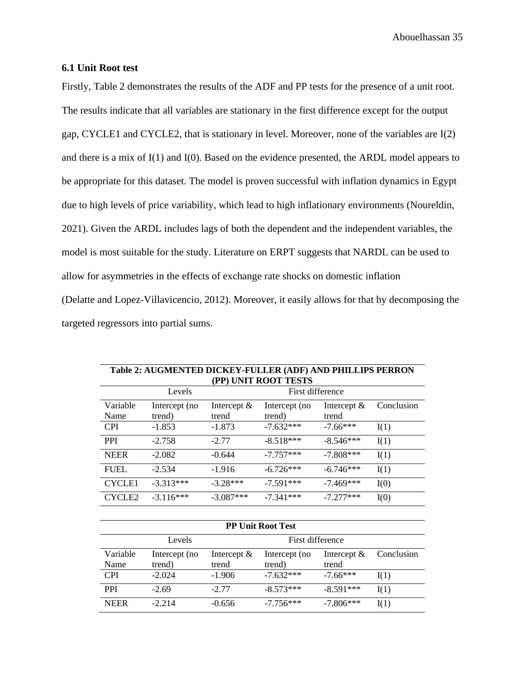### <span id="page-35-0"></span>**6.1 Unit Root test**

Firstly, Table 2 demonstrates the results of the ADF and PP tests for the presence of a unit root. The results indicate that all variables are stationary in the first difference except for the output gap, CYCLE1 and CYCLE2, that is stationary in level. Moreover, none of the variables are I(2) and there is a mix of I(1) and I(0). Based on the evidence presented, the ARDL model appears to be appropriate for this dataset. The model is proven successful with inflation dynamics in Egypt due to high levels of price variability, which lead to high inflationary environments (Noureldin, 2021). Given the ARDL includes lags of both the dependent and the independent variables, the model is most suitable for the study. Literature on ERPT suggests that NARDL can be used to allow for asymmetries in the effects of exchange rate shocks on domestic inflation (Delatte and Lopez-Villavicencio, 2012). Moreover, it easily allows for that by decomposing the targeted regressors into partial sums.

| Table 2: AUGMENTED DICKEY-FULLER (ADF) AND PHILLIPS PERRON<br>(PP) UNIT ROOT TESTS |                            |                         |                          |                         |            |  |  |  |
|------------------------------------------------------------------------------------|----------------------------|-------------------------|--------------------------|-------------------------|------------|--|--|--|
|                                                                                    | First difference<br>Levels |                         |                          |                         |            |  |  |  |
| Variable<br>Name                                                                   | Intercept (no<br>trend)    | Intercept $\&$<br>trend | Intercept (no<br>trend)  | Intercept $\&$<br>trend | Conclusion |  |  |  |
| <b>CPI</b>                                                                         | $-1.853$                   | $-1.873$                | $-7.632***$              | $-7.66***$              | I(1)       |  |  |  |
| <b>PPI</b>                                                                         | $-2.758$                   | $-2.77$                 | $-8.518***$              | $-8.546***$             | I(1)       |  |  |  |
| <b>NEER</b>                                                                        | $-2.082$                   | $-0.644$                | $-7.757***$              | $-7.808***$             | I(1)       |  |  |  |
| <b>FUEL</b>                                                                        | $-2.534$                   | $-1.916$                | $-6.726***$              | $-6.746***$             | I(1)       |  |  |  |
| <b>CYCLE1</b>                                                                      | $-3.313***$                | $-3.28***$              | $-7.591***$              | $-7.469***$             | I(0)       |  |  |  |
| CYCLE <sub>2</sub>                                                                 | $-3.116***$                | $-3.087***$             | $-7.341***$              | $-7.277***$             | I(0)       |  |  |  |
|                                                                                    |                            |                         |                          |                         |            |  |  |  |
|                                                                                    |                            |                         | <b>PP Unit Root Test</b> |                         |            |  |  |  |

|                  | Levels                  |                         | First difference        |                         |            |
|------------------|-------------------------|-------------------------|-------------------------|-------------------------|------------|
| Variable<br>Name | Intercept (no<br>trend) | Intercept $\&$<br>trend | Intercept (no<br>trend) | Intercept $\&$<br>trend | Conclusion |
| <b>CPI</b>       | $-2.024$                | $-1.906$                | $-7.632***$             | $-7.66***$              | I(1)       |
| <b>PPI</b>       | $-2.69$                 | $-2.77$                 | $-8.573***$             | $-8.591***$             | I(1)       |
| <b>NEER</b>      | $-2.214$                | $-0.656$                | $-7.756***$             | $-7.806***$             | I(1)       |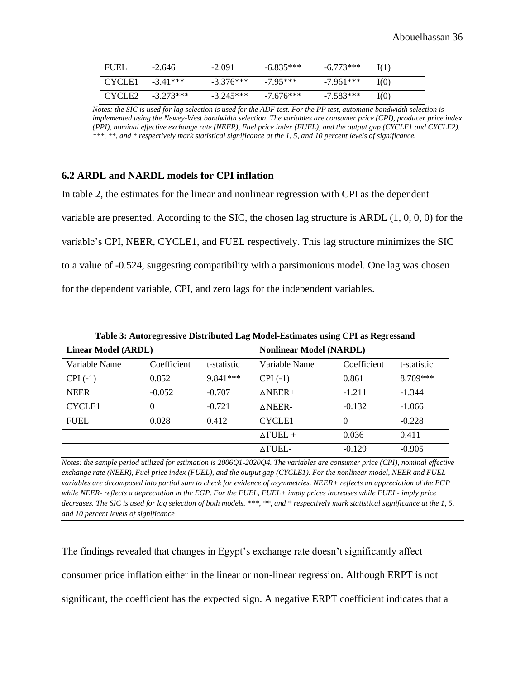| <b>FUEL</b>        | $-2.646$    | $-2.091$    | $-6.835***$ | $-6.773***$ | I(1) |
|--------------------|-------------|-------------|-------------|-------------|------|
| CYCLE1             | $-3.41***$  | $-3.376***$ | $-795***$   | -7.961***   | I(0) |
| CYCLE <sub>2</sub> | $-3.273***$ | $-3.245***$ | $-7.676***$ | $-7.583***$ | I(0) |

*Notes: the SIC is used for lag selection is used for the ADF test. For the PP test, automatic bandwidth selection is implemented using the Newey-West bandwidth selection. The variables are consumer price (CPI), producer price index (PPI), nominal effective exchange rate (NEER), Fuel price index (FUEL), and the output gap (CYCLE1 and CYCLE2). \*\*\*, \*\*, and \* respectively mark statistical significance at the 1, 5, and 10 percent levels of significance.*

### <span id="page-36-0"></span>**6.2 ARDL and NARDL models for CPI inflation**

In table 2, the estimates for the linear and nonlinear regression with CPI as the dependent variable are presented. According to the SIC, the chosen lag structure is ARDL (1, 0, 0, 0) for the variable's CPI, NEER, CYCLE1, and FUEL respectively. This lag structure minimizes the SIC to a value of -0.524, suggesting compatibility with a parsimonious model. One lag was chosen for the dependent variable, CPI, and zero lags for the independent variables.

| Table 3: Autoregressive Distributed Lag Model-Estimates using CPI as Regressand |             |             |                    |                                |             |  |  |  |
|---------------------------------------------------------------------------------|-------------|-------------|--------------------|--------------------------------|-------------|--|--|--|
| <b>Linear Model (ARDL)</b>                                                      |             |             |                    | <b>Nonlinear Model (NARDL)</b> |             |  |  |  |
| Variable Name                                                                   | Coefficient | t-statistic | Variable Name      | Coefficient                    | t-statistic |  |  |  |
| $CPI(-1)$                                                                       | 0.852       | $9.841***$  | $CPI(-1)$          | 0.861                          | 8.709***    |  |  |  |
| <b>NEER</b>                                                                     | $-0.052$    | $-0.707$    | $\triangle NEER+$  | $-1.211$                       | $-1.344$    |  |  |  |
| <b>CYCLE1</b>                                                                   | 0           | $-0.721$    | $\triangle$ NEER-  | $-0.132$                       | $-1.066$    |  |  |  |
| <b>FUEL</b>                                                                     | 0.028       | 0.412       | <b>CYCLE1</b>      | $\Omega$                       | $-0.228$    |  |  |  |
|                                                                                 |             |             | $\triangle$ FUEL + | 0.036                          | 0.411       |  |  |  |
|                                                                                 |             |             | <b>AFUEL-</b>      | $-0.129$                       | $-0.905$    |  |  |  |

*Notes: the sample period utilized for estimation is 2006Q1-2020Q4. The variables are consumer price (CPI), nominal effective exchange rate (NEER), Fuel price index (FUEL), and the output gap (CYCLE1). For the nonlinear model, NEER and FUEL variables are decomposed into partial sum to check for evidence of asymmetries. NEER+ reflects an appreciation of the EGP while NEER- reflects a depreciation in the EGP. For the FUEL, FUEL+ imply prices increases while FUEL- imply price decreases. The SIC is used for lag selection of both models. \*\*\*, \*\*, and \* respectively mark statistical significance at the 1, 5, and 10 percent levels of significance*

The findings revealed that changes in Egypt's exchange rate doesn't significantly affect consumer price inflation either in the linear or non-linear regression. Although ERPT is not significant, the coefficient has the expected sign. A negative ERPT coefficient indicates that a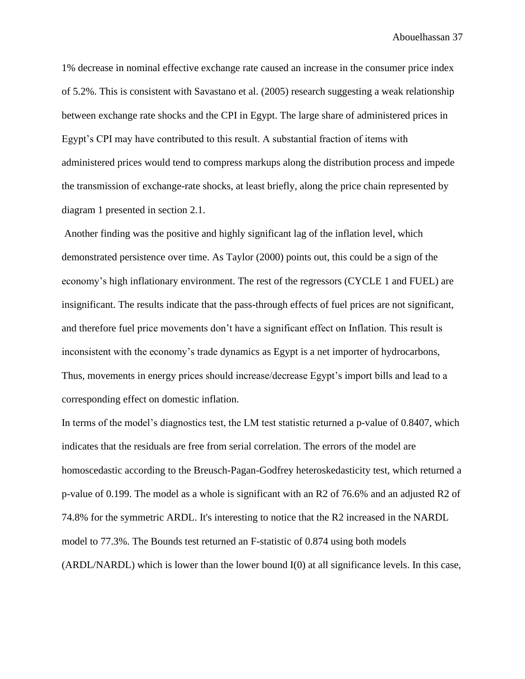1% decrease in nominal effective exchange rate caused an increase in the consumer price index of 5.2%. This is consistent with Savastano et al. (2005) research suggesting a weak relationship between exchange rate shocks and the CPI in Egypt. The large share of administered prices in Egypt's CPI may have contributed to this result. A substantial fraction of items with administered prices would tend to compress markups along the distribution process and impede the transmission of exchange-rate shocks, at least briefly, along the price chain represented by diagram 1 presented in section 2.1.

Another finding was the positive and highly significant lag of the inflation level, which demonstrated persistence over time. As Taylor (2000) points out, this could be a sign of the economy's high inflationary environment. The rest of the regressors (CYCLE 1 and FUEL) are insignificant. The results indicate that the pass-through effects of fuel prices are not significant, and therefore fuel price movements don't have a significant effect on Inflation. This result is inconsistent with the economy's trade dynamics as Egypt is a net importer of hydrocarbons, Thus, movements in energy prices should increase/decrease Egypt's import bills and lead to a corresponding effect on domestic inflation.

In terms of the model's diagnostics test, the LM test statistic returned a p-value of 0.8407, which indicates that the residuals are free from serial correlation. The errors of the model are homoscedastic according to the Breusch-Pagan-Godfrey heteroskedasticity test, which returned a p-value of 0.199. The model as a whole is significant with an R2 of 76.6% and an adjusted R2 of 74.8% for the symmetric ARDL. It's interesting to notice that the R2 increased in the NARDL model to 77.3%. The Bounds test returned an F-statistic of 0.874 using both models (ARDL/NARDL) which is lower than the lower bound I(0) at all significance levels. In this case,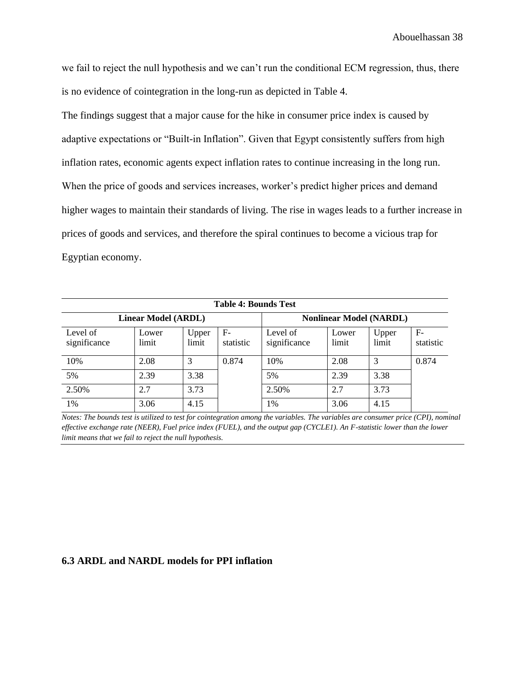we fail to reject the null hypothesis and we can't run the conditional ECM regression, thus, there is no evidence of cointegration in the long-run as depicted in Table 4.

The findings suggest that a major cause for the hike in consumer price index is caused by adaptive expectations or "Built-in Inflation". Given that Egypt consistently suffers from high inflation rates, economic agents expect inflation rates to continue increasing in the long run. When the price of goods and services increases, worker's predict higher prices and demand higher wages to maintain their standards of living. The rise in wages leads to a further increase in prices of goods and services, and therefore the spiral continues to become a vicious trap for Egyptian economy.

| <b>Table 4: Bounds Test</b> |                            |                |                   |                                |                |                |                   |  |  |
|-----------------------------|----------------------------|----------------|-------------------|--------------------------------|----------------|----------------|-------------------|--|--|
|                             | <b>Linear Model (ARDL)</b> |                |                   | <b>Nonlinear Model (NARDL)</b> |                |                |                   |  |  |
| Level of<br>significance    | Lower<br>limit             | Upper<br>limit | $F-$<br>statistic | Level of<br>significance       | Lower<br>limit | Upper<br>limit | $F-$<br>statistic |  |  |
| 10%                         | 2.08                       | 3              | 0.874             | 10%                            | 2.08           | 3              | 0.874             |  |  |
| 5%                          | 2.39                       | 3.38           |                   | 5%                             | 2.39           | 3.38           |                   |  |  |
| 2.50%                       | 2.7                        | 3.73           |                   | 2.50%                          | 2.7            | 3.73           |                   |  |  |
| 1%                          | 3.06                       | 4.15           |                   | 1%                             | 3.06           | 4.15           |                   |  |  |

*Notes: The bounds test is utilized to test for cointegration among the variables. The variables are consumer price (CPI), nominal effective exchange rate (NEER), Fuel price index (FUEL), and the output gap (CYCLE1). An F-statistic lower than the lower limit means that we fail to reject the null hypothesis.* 

### <span id="page-38-0"></span>**6.3 ARDL and NARDL models for PPI inflation**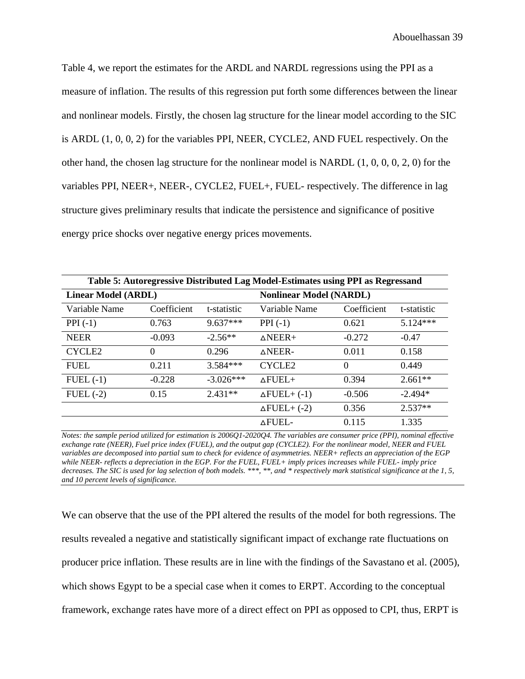Table 4, we report the estimates for the ARDL and NARDL regressions using the PPI as a measure of inflation. The results of this regression put forth some differences between the linear and nonlinear models. Firstly, the chosen lag structure for the linear model according to the SIC is ARDL (1, 0, 0, 2) for the variables PPI, NEER, CYCLE2, AND FUEL respectively. On the other hand, the chosen lag structure for the nonlinear model is NARDL  $(1, 0, 0, 0, 2, 0)$  for the variables PPI, NEER+, NEER-, CYCLE2, FUEL+, FUEL- respectively. The difference in lag structure gives preliminary results that indicate the persistence and significance of positive energy price shocks over negative energy prices movements.

| Table 5: Autoregressive Distributed Lag Model-Estimates using PPI as Regressand |             |             |                                |             |             |  |  |  |
|---------------------------------------------------------------------------------|-------------|-------------|--------------------------------|-------------|-------------|--|--|--|
| <b>Linear Model (ARDL)</b>                                                      |             |             | <b>Nonlinear Model (NARDL)</b> |             |             |  |  |  |
| Variable Name                                                                   | Coefficient | t-statistic | Variable Name                  | Coefficient | t-statistic |  |  |  |
| $PPI(-1)$                                                                       | 0.763       | $9.637***$  | $PPI(-1)$                      | 0.621       | $5.124***$  |  |  |  |
| <b>NEER</b>                                                                     | $-0.093$    | $-2.56**$   | $\triangle NEER+$              | $-0.272$    | $-0.47$     |  |  |  |
| CYCLE <sub>2</sub>                                                              | $\Omega$    | 0.296       | $\triangle$ NEER-              | 0.011       | 0.158       |  |  |  |
| <b>FUEL</b>                                                                     | 0.211       | $3.584***$  | CYCLE <sub>2</sub>             | $\Omega$    | 0.449       |  |  |  |
| $FUEL$ $(-1)$                                                                   | $-0.228$    | $-3.026***$ | $\triangle$ FUEL+              | 0.394       | $2.661**$   |  |  |  |
| $FUEL$ $(-2)$                                                                   | 0.15        | $2.431**$   | $\Delta$ FUEL+ $(-1)$          | $-0.506$    | $-2.494*$   |  |  |  |
|                                                                                 |             |             | $\Delta$ FUEL+ (-2)            | 0.356       | $2.537**$   |  |  |  |
|                                                                                 |             |             | <b>AFUEL-</b>                  | 0.115       | 1.335       |  |  |  |

*Notes: the sample period utilized for estimation is 2006Q1-2020Q4. The variables are consumer price (PPI), nominal effective exchange rate (NEER), Fuel price index (FUEL), and the output gap (CYCLE2). For the nonlinear model, NEER and FUEL variables are decomposed into partial sum to check for evidence of asymmetries. NEER+ reflects an appreciation of the EGP while NEER- reflects a depreciation in the EGP. For the FUEL, FUEL+ imply prices increases while FUEL- imply price decreases. The SIC is used for lag selection of both models. \*\*\*, \*\*, and \* respectively mark statistical significance at the 1, 5, and 10 percent levels of significance.*

We can observe that the use of the PPI altered the results of the model for both regressions. The results revealed a negative and statistically significant impact of exchange rate fluctuations on producer price inflation. These results are in line with the findings of the Savastano et al. (2005), which shows Egypt to be a special case when it comes to ERPT. According to the conceptual framework, exchange rates have more of a direct effect on PPI as opposed to CPI, thus, ERPT is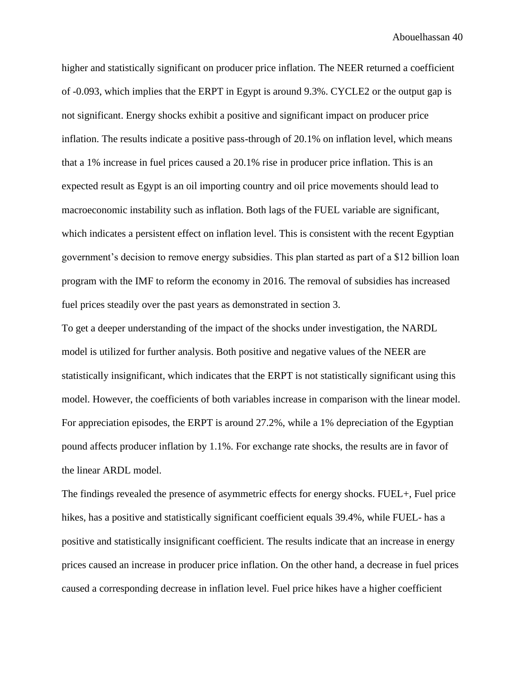higher and statistically significant on producer price inflation. The NEER returned a coefficient of -0.093, which implies that the ERPT in Egypt is around 9.3%. CYCLE2 or the output gap is not significant. Energy shocks exhibit a positive and significant impact on producer price inflation. The results indicate a positive pass-through of 20.1% on inflation level, which means that a 1% increase in fuel prices caused a 20.1% rise in producer price inflation. This is an expected result as Egypt is an oil importing country and oil price movements should lead to macroeconomic instability such as inflation. Both lags of the FUEL variable are significant, which indicates a persistent effect on inflation level. This is consistent with the recent Egyptian government's decision to remove energy subsidies. This plan started as part of a \$12 billion loan program with the IMF to reform the economy in 2016. The removal of subsidies has increased fuel prices steadily over the past years as demonstrated in section 3.

To get a deeper understanding of the impact of the shocks under investigation, the NARDL model is utilized for further analysis. Both positive and negative values of the NEER are statistically insignificant, which indicates that the ERPT is not statistically significant using this model. However, the coefficients of both variables increase in comparison with the linear model. For appreciation episodes, the ERPT is around 27.2%, while a 1% depreciation of the Egyptian pound affects producer inflation by 1.1%. For exchange rate shocks, the results are in favor of the linear ARDL model.

The findings revealed the presence of asymmetric effects for energy shocks. FUEL+, Fuel price hikes, has a positive and statistically significant coefficient equals 39.4%, while FUEL- has a positive and statistically insignificant coefficient. The results indicate that an increase in energy prices caused an increase in producer price inflation. On the other hand, a decrease in fuel prices caused a corresponding decrease in inflation level. Fuel price hikes have a higher coefficient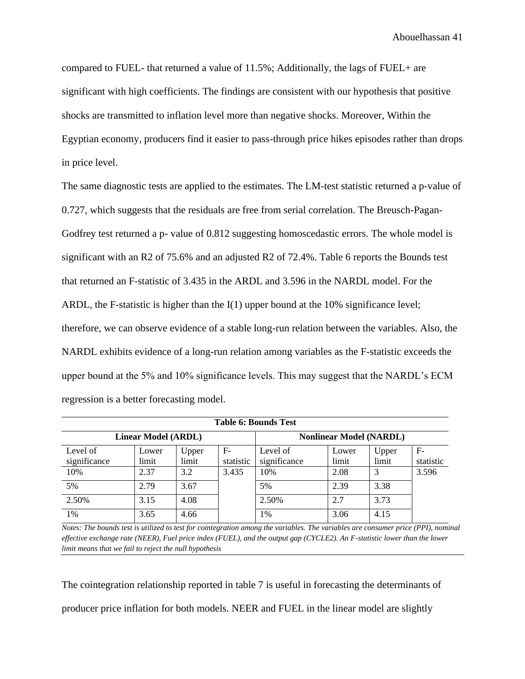compared to FUEL- that returned a value of 11.5%; Additionally, the lags of FUEL+ are significant with high coefficients. The findings are consistent with our hypothesis that positive shocks are transmitted to inflation level more than negative shocks. Moreover, Within the Egyptian economy, producers find it easier to pass-through price hikes episodes rather than drops in price level.

The same diagnostic tests are applied to the estimates. The LM-test statistic returned a p-value of 0.727, which suggests that the residuals are free from serial correlation. The Breusch-Pagan-Godfrey test returned a p- value of 0.812 suggesting homoscedastic errors. The whole model is significant with an R2 of 75.6% and an adjusted R2 of 72.4%. Table 6 reports the Bounds test that returned an F-statistic of 3.435 in the ARDL and 3.596 in the NARDL model. For the ARDL, the F-statistic is higher than the  $I(1)$  upper bound at the 10% significance level; therefore, we can observe evidence of a stable long-run relation between the variables. Also, the NARDL exhibits evidence of a long-run relation among variables as the F-statistic exceeds the upper bound at the 5% and 10% significance levels. This may suggest that the NARDL's ECM regression is a better forecasting model.

| Table 6: Bounds Test       |       |       |           |              |                                |       |           |  |  |
|----------------------------|-------|-------|-----------|--------------|--------------------------------|-------|-----------|--|--|
| <b>Linear Model (ARDL)</b> |       |       |           |              | <b>Nonlinear Model (NARDL)</b> |       |           |  |  |
| Level of                   | Lower | Upper | $F-$      | Level of     | Lower                          | Upper | $F-$      |  |  |
| significance               | limit | limit | statistic | significance | limit                          | limit | statistic |  |  |
| 10%                        | 2.37  | 3.2   | 3.435     | 10%          | 2.08                           | 3     | 3.596     |  |  |
| 5%                         | 2.79  | 3.67  |           | 5%           | 2.39                           | 3.38  |           |  |  |
| 2.50%                      | 3.15  | 4.08  |           | 2.50%        | 2.7                            | 3.73  |           |  |  |
| 1%                         | 3.65  | 4.66  |           | 1%           | 3.06                           | 4.15  |           |  |  |

*Notes: The bounds test is utilized to test for cointegration among the variables. The variables are consumer price (PPI), nominal effective exchange rate (NEER), Fuel price index (FUEL), and the output gap (CYCLE2). An F-statistic lower than the lower limit means that we fail to reject the null hypothesis*

The cointegration relationship reported in table 7 is useful in forecasting the determinants of producer price inflation for both models. NEER and FUEL in the linear model are slightly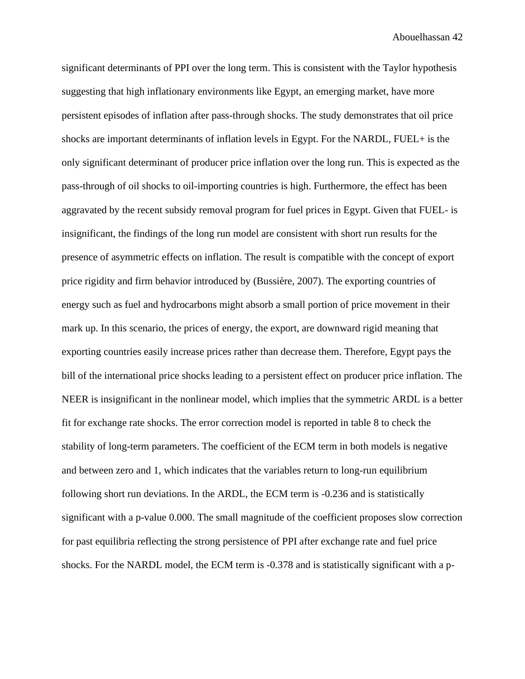significant determinants of PPI over the long term. This is consistent with the Taylor hypothesis suggesting that high inflationary environments like Egypt, an emerging market, have more persistent episodes of inflation after pass-through shocks. The study demonstrates that oil price shocks are important determinants of inflation levels in Egypt. For the NARDL, FUEL+ is the only significant determinant of producer price inflation over the long run. This is expected as the pass-through of oil shocks to oil-importing countries is high. Furthermore, the effect has been aggravated by the recent subsidy removal program for fuel prices in Egypt. Given that FUEL- is insignificant, the findings of the long run model are consistent with short run results for the presence of asymmetric effects on inflation. The result is compatible with the concept of export price rigidity and firm behavior introduced by (Bussière, 2007). The exporting countries of energy such as fuel and hydrocarbons might absorb a small portion of price movement in their mark up. In this scenario, the prices of energy, the export, are downward rigid meaning that exporting countries easily increase prices rather than decrease them. Therefore, Egypt pays the bill of the international price shocks leading to a persistent effect on producer price inflation. The NEER is insignificant in the nonlinear model, which implies that the symmetric ARDL is a better fit for exchange rate shocks. The error correction model is reported in table 8 to check the stability of long-term parameters. The coefficient of the ECM term in both models is negative and between zero and 1, which indicates that the variables return to long-run equilibrium following short run deviations. In the ARDL, the ECM term is -0.236 and is statistically significant with a p-value 0.000. The small magnitude of the coefficient proposes slow correction for past equilibria reflecting the strong persistence of PPI after exchange rate and fuel price shocks. For the NARDL model, the ECM term is -0.378 and is statistically significant with a p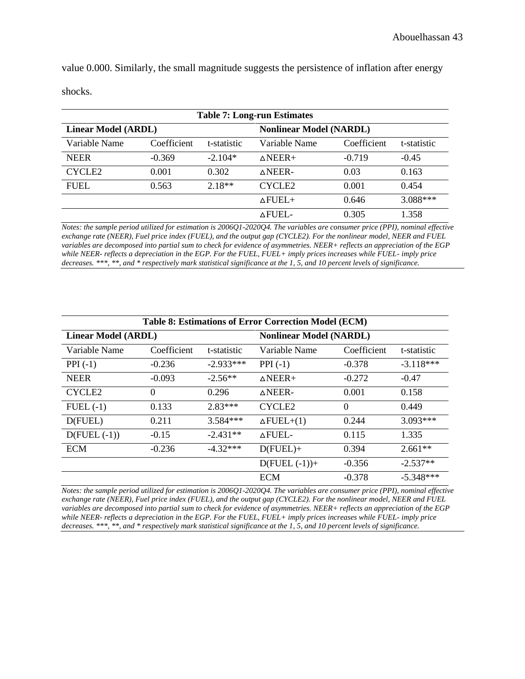value 0.000. Similarly, the small magnitude suggests the persistence of inflation after energy shocks.

| <b>Table 7: Long-run Estimates</b> |             |             |                                |             |             |  |  |  |
|------------------------------------|-------------|-------------|--------------------------------|-------------|-------------|--|--|--|
| <b>Linear Model (ARDL)</b>         |             |             | <b>Nonlinear Model (NARDL)</b> |             |             |  |  |  |
| Variable Name                      | Coefficient | t-statistic | Variable Name                  | Coefficient | t-statistic |  |  |  |
| <b>NEER</b>                        | $-0.369$    | $-2.104*$   | $\triangle$ NEER+              | $-0.719$    | $-0.45$     |  |  |  |
| CYCLE <sub>2</sub>                 | 0.001       | 0.302       | $\wedge$ NEER-                 | 0.03        | 0.163       |  |  |  |
| <b>FUEL</b>                        | 0.563       | $2.18**$    | <b>CYCLE2</b>                  | 0.001       | 0.454       |  |  |  |
|                                    |             |             | $\triangle$ FUEL+              | 0.646       | $3.088***$  |  |  |  |
|                                    |             |             | <b>AFUEL-</b>                  | 0.305       | 1.358       |  |  |  |

*Notes: the sample period utilized for estimation is 2006Q1-2020Q4. The variables are consumer price (PPI), nominal effective exchange rate (NEER), Fuel price index (FUEL), and the output gap (CYCLE2). For the nonlinear model, NEER and FUEL variables are decomposed into partial sum to check for evidence of asymmetries. NEER+ reflects an appreciation of the EGP while NEER- reflects a depreciation in the EGP. For the FUEL, FUEL+ imply prices increases while FUEL- imply price decreases. \*\*\*, \*\*, and \* respectively mark statistical significance at the 1, 5, and 10 percent levels of significance.*

| <b>Table 8: Estimations of Error Correction Model (ECM)</b> |             |                                |                   |             |             |
|-------------------------------------------------------------|-------------|--------------------------------|-------------------|-------------|-------------|
| <b>Linear Model (ARDL)</b>                                  |             | <b>Nonlinear Model (NARDL)</b> |                   |             |             |
| Variable Name                                               | Coefficient | t-statistic                    | Variable Name     | Coefficient | t-statistic |
| $PPI(-1)$                                                   | $-0.236$    | $-2.933***$                    | $PPI(-1)$         | $-0.378$    | $-3.118***$ |
| <b>NEER</b>                                                 | $-0.093$    | $-2.56**$                      | $\triangle NEER+$ | $-0.272$    | $-0.47$     |
| CYCLE <sub>2</sub>                                          | $\Omega$    | 0.296                          | $\triangle$ NEER- | 0.001       | 0.158       |
| $FUEL$ $(-1)$                                               | 0.133       | $2.83***$                      | CYCLE2            | $\Omega$    | 0.449       |
| D(FUEL)                                                     | 0.211       | $3.584***$                     | $\Delta$ FUEL+(1) | 0.244       | 3.093***    |
| $D(FUEL (-1))$                                              | $-0.15$     | $-2.431**$                     | <b>AFUEL-</b>     | 0.115       | 1.335       |
| <b>ECM</b>                                                  | $-0.236$    | $-4.32***$                     | $D(FUEL) +$       | 0.394       | $2.661**$   |
|                                                             |             |                                | $D(FUEL (-1)) +$  | $-0.356$    | $-2.537**$  |
|                                                             |             |                                | <b>ECM</b>        | $-0.378$    | $-5.348***$ |

*Notes: the sample period utilized for estimation is 2006Q1-2020Q4. The variables are consumer price (PPI), nominal effective exchange rate (NEER), Fuel price index (FUEL), and the output gap (CYCLE2). For the nonlinear model, NEER and FUEL variables are decomposed into partial sum to check for evidence of asymmetries. NEER+ reflects an appreciation of the EGP while NEER- reflects a depreciation in the EGP. For the FUEL, FUEL+ imply prices increases while FUEL- imply price decreases. \*\*\*, \*\*, and \* respectively mark statistical significance at the 1, 5, and 10 percent levels of significance.*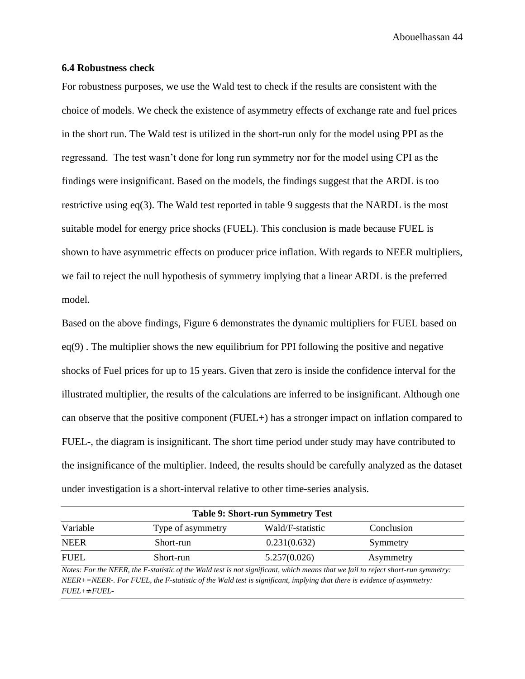### <span id="page-44-0"></span>**6.4 Robustness check**

For robustness purposes, we use the Wald test to check if the results are consistent with the choice of models. We check the existence of asymmetry effects of exchange rate and fuel prices in the short run. The Wald test is utilized in the short-run only for the model using PPI as the regressand. The test wasn't done for long run symmetry nor for the model using CPI as the findings were insignificant. Based on the models, the findings suggest that the ARDL is too restrictive using eq(3). The Wald test reported in table 9 suggests that the NARDL is the most suitable model for energy price shocks (FUEL). This conclusion is made because FUEL is shown to have asymmetric effects on producer price inflation. With regards to NEER multipliers, we fail to reject the null hypothesis of symmetry implying that a linear ARDL is the preferred model.

Based on the above findings, Figure 6 demonstrates the dynamic multipliers for FUEL based on  $eq(9)$ . The multiplier shows the new equilibrium for PPI following the positive and negative shocks of Fuel prices for up to 15 years. Given that zero is inside the confidence interval for the illustrated multiplier, the results of the calculations are inferred to be insignificant. Although one can observe that the positive component (FUEL+) has a stronger impact on inflation compared to FUEL-, the diagram is insignificant. The short time period under study may have contributed to the insignificance of the multiplier. Indeed, the results should be carefully analyzed as the dataset under investigation is a short-interval relative to other time-series analysis.

| <b>Table 9: Short-run Symmetry Test</b>                                                                                          |                   |                  |            |  |  |
|----------------------------------------------------------------------------------------------------------------------------------|-------------------|------------------|------------|--|--|
| Variable                                                                                                                         | Type of asymmetry | Wald/F-statistic | Conclusion |  |  |
| <b>NEER</b>                                                                                                                      | Short-run         | 0.231(0.632)     | Symmetry   |  |  |
| <b>FUEL</b>                                                                                                                      | Short-run         | 5.257(0.026)     | Asymmetry  |  |  |
| Notes, Eartha NEED, the E statistic of the Wald test is not significant, which means that we fail to voicet short was groundtown |                   |                  |            |  |  |

*Notes: For the NEER, the F-statistic of the Wald test is not significant, which means that we fail to reject short-run symmetry: NEER+=NEER-. For FUEL, the F-statistic of the Wald test is significant, implying that there is evidence of asymmetry: FUEL+*≠*FUEL-*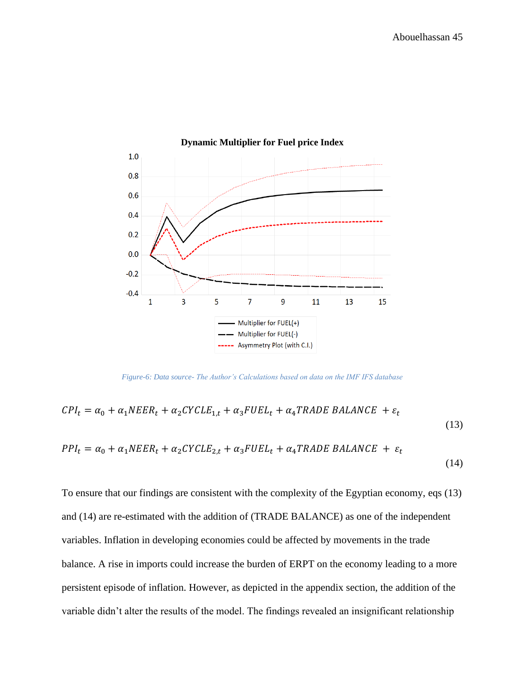

*Figure-6: Data source- The Author's Calculations based on data on the IMF IFS database*

$$
CPI_t = \alpha_0 + \alpha_1 NEER_t + \alpha_2 CYCLE_{1,t} + \alpha_3 FUEL_t + \alpha_4 TRADE BALANCE + \varepsilon_t
$$
\n
$$
PPI_t = \alpha_0 + \alpha_1 NEER_t + \alpha_2 CYCLE_{2,t} + \alpha_3 FUEL_t + \alpha_4 TRADE BALANCE + \varepsilon_t
$$
\n(14)

To ensure that our findings are consistent with the complexity of the Egyptian economy, eqs (13) and (14) are re-estimated with the addition of (TRADE BALANCE) as one of the independent variables. Inflation in developing economies could be affected by movements in the trade balance. A rise in imports could increase the burden of ERPT on the economy leading to a more persistent episode of inflation. However, as depicted in the appendix section, the addition of the variable didn't alter the results of the model. The findings revealed an insignificant relationship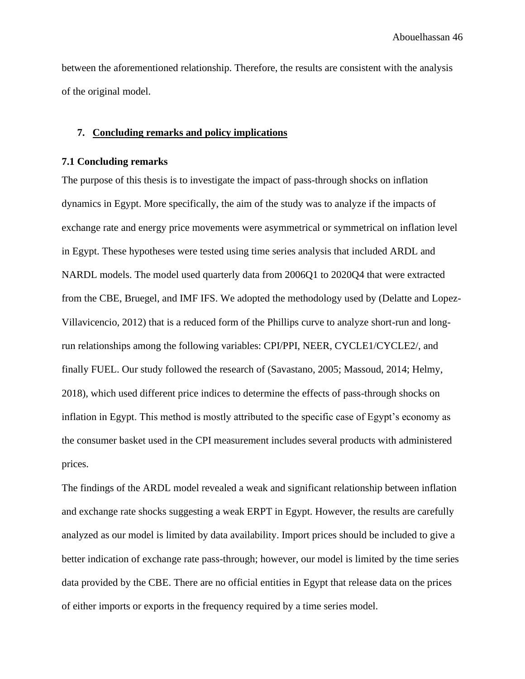between the aforementioned relationship. Therefore, the results are consistent with the analysis of the original model.

### <span id="page-46-0"></span>**7. Concluding remarks and policy implications**

### <span id="page-46-1"></span>**7.1 Concluding remarks**

The purpose of this thesis is to investigate the impact of pass-through shocks on inflation dynamics in Egypt. More specifically, the aim of the study was to analyze if the impacts of exchange rate and energy price movements were asymmetrical or symmetrical on inflation level in Egypt. These hypotheses were tested using time series analysis that included ARDL and NARDL models. The model used quarterly data from 2006Q1 to 2020Q4 that were extracted from the CBE, Bruegel, and IMF IFS. We adopted the methodology used by (Delatte and Lopez-Villavicencio, 2012) that is a reduced form of the Phillips curve to analyze short-run and longrun relationships among the following variables: CPI/PPI, NEER, CYCLE1/CYCLE2/, and finally FUEL. Our study followed the research of (Savastano, 2005; Massoud, 2014; Helmy, 2018), which used different price indices to determine the effects of pass-through shocks on inflation in Egypt. This method is mostly attributed to the specific case of Egypt's economy as the consumer basket used in the CPI measurement includes several products with administered prices.

The findings of the ARDL model revealed a weak and significant relationship between inflation and exchange rate shocks suggesting a weak ERPT in Egypt. However, the results are carefully analyzed as our model is limited by data availability. Import prices should be included to give a better indication of exchange rate pass-through; however, our model is limited by the time series data provided by the CBE. There are no official entities in Egypt that release data on the prices of either imports or exports in the frequency required by a time series model.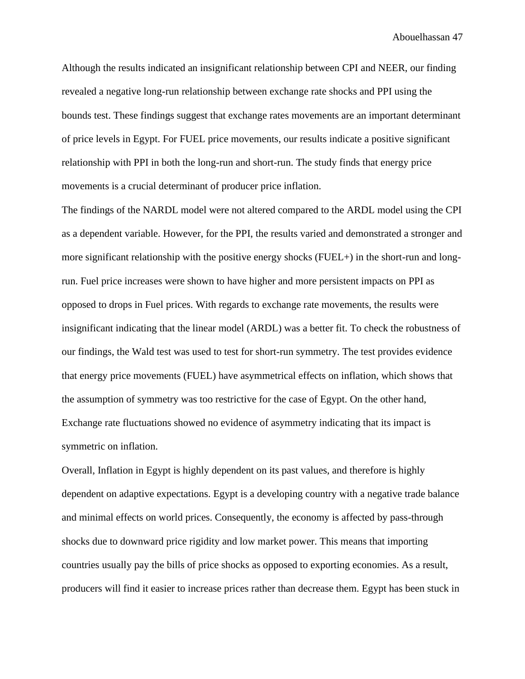Although the results indicated an insignificant relationship between CPI and NEER, our finding revealed a negative long-run relationship between exchange rate shocks and PPI using the bounds test. These findings suggest that exchange rates movements are an important determinant of price levels in Egypt. For FUEL price movements, our results indicate a positive significant relationship with PPI in both the long-run and short-run. The study finds that energy price movements is a crucial determinant of producer price inflation.

The findings of the NARDL model were not altered compared to the ARDL model using the CPI as a dependent variable. However, for the PPI, the results varied and demonstrated a stronger and more significant relationship with the positive energy shocks (FUEL+) in the short-run and longrun. Fuel price increases were shown to have higher and more persistent impacts on PPI as opposed to drops in Fuel prices. With regards to exchange rate movements, the results were insignificant indicating that the linear model (ARDL) was a better fit. To check the robustness of our findings, the Wald test was used to test for short-run symmetry. The test provides evidence that energy price movements (FUEL) have asymmetrical effects on inflation, which shows that the assumption of symmetry was too restrictive for the case of Egypt. On the other hand, Exchange rate fluctuations showed no evidence of asymmetry indicating that its impact is symmetric on inflation.

Overall, Inflation in Egypt is highly dependent on its past values, and therefore is highly dependent on adaptive expectations. Egypt is a developing country with a negative trade balance and minimal effects on world prices. Consequently, the economy is affected by pass-through shocks due to downward price rigidity and low market power. This means that importing countries usually pay the bills of price shocks as opposed to exporting economies. As a result, producers will find it easier to increase prices rather than decrease them. Egypt has been stuck in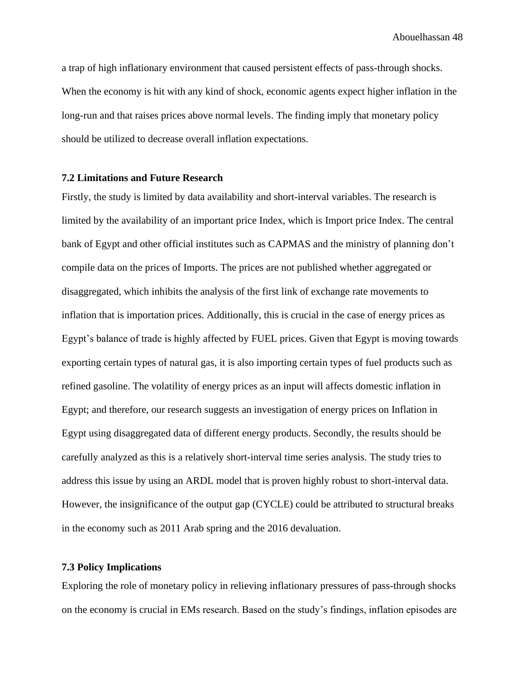a trap of high inflationary environment that caused persistent effects of pass-through shocks. When the economy is hit with any kind of shock, economic agents expect higher inflation in the long-run and that raises prices above normal levels. The finding imply that monetary policy should be utilized to decrease overall inflation expectations.

#### <span id="page-48-0"></span>**7.2 Limitations and Future Research**

Firstly, the study is limited by data availability and short-interval variables. The research is limited by the availability of an important price Index, which is Import price Index. The central bank of Egypt and other official institutes such as CAPMAS and the ministry of planning don't compile data on the prices of Imports. The prices are not published whether aggregated or disaggregated, which inhibits the analysis of the first link of exchange rate movements to inflation that is importation prices. Additionally, this is crucial in the case of energy prices as Egypt's balance of trade is highly affected by FUEL prices. Given that Egypt is moving towards exporting certain types of natural gas, it is also importing certain types of fuel products such as refined gasoline. The volatility of energy prices as an input will affects domestic inflation in Egypt; and therefore, our research suggests an investigation of energy prices on Inflation in Egypt using disaggregated data of different energy products. Secondly, the results should be carefully analyzed as this is a relatively short-interval time series analysis. The study tries to address this issue by using an ARDL model that is proven highly robust to short-interval data. However, the insignificance of the output gap (CYCLE) could be attributed to structural breaks in the economy such as 2011 Arab spring and the 2016 devaluation.

### <span id="page-48-1"></span>**7.3 Policy Implications**

Exploring the role of monetary policy in relieving inflationary pressures of pass-through shocks on the economy is crucial in EMs research. Based on the study's findings, inflation episodes are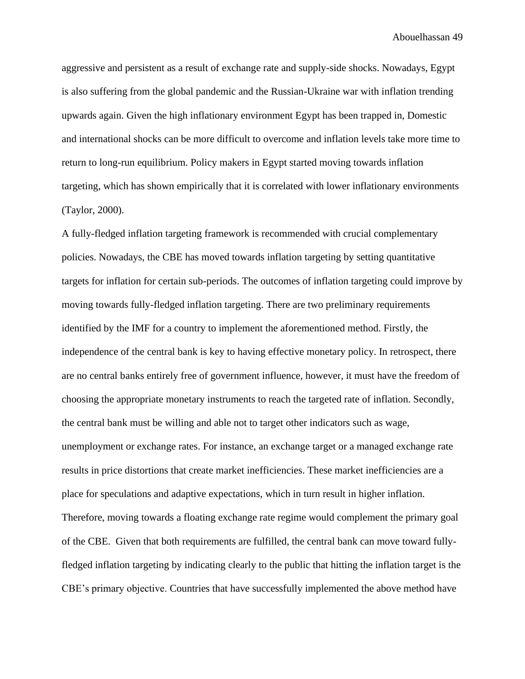aggressive and persistent as a result of exchange rate and supply-side shocks. Nowadays, Egypt is also suffering from the global pandemic and the Russian-Ukraine war with inflation trending upwards again. Given the high inflationary environment Egypt has been trapped in, Domestic and international shocks can be more difficult to overcome and inflation levels take more time to return to long-run equilibrium. Policy makers in Egypt started moving towards inflation targeting, which has shown empirically that it is correlated with lower inflationary environments (Taylor, 2000).

A fully-fledged inflation targeting framework is recommended with crucial complementary policies. Nowadays, the CBE has moved towards inflation targeting by setting quantitative targets for inflation for certain sub-periods. The outcomes of inflation targeting could improve by moving towards fully-fledged inflation targeting. There are two preliminary requirements identified by the IMF for a country to implement the aforementioned method. Firstly, the independence of the central bank is key to having effective monetary policy. In retrospect, there are no central banks entirely free of government influence, however, it must have the freedom of choosing the appropriate monetary instruments to reach the targeted rate of inflation. Secondly, the central bank must be willing and able not to target other indicators such as wage, unemployment or exchange rates. For instance, an exchange target or a managed exchange rate results in price distortions that create market inefficiencies. These market inefficiencies are a place for speculations and adaptive expectations, which in turn result in higher inflation. Therefore, moving towards a floating exchange rate regime would complement the primary goal of the CBE. Given that both requirements are fulfilled, the central bank can move toward fullyfledged inflation targeting by indicating clearly to the public that hitting the inflation target is the CBE's primary objective. Countries that have successfully implemented the above method have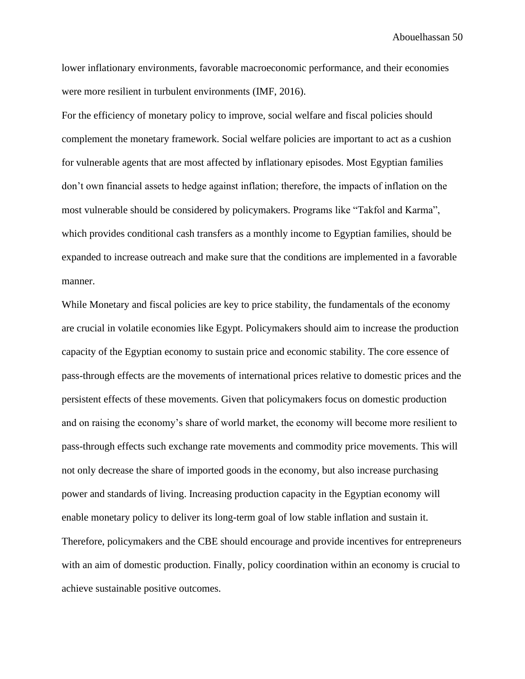lower inflationary environments, favorable macroeconomic performance, and their economies were more resilient in turbulent environments (IMF, 2016).

For the efficiency of monetary policy to improve, social welfare and fiscal policies should complement the monetary framework. Social welfare policies are important to act as a cushion for vulnerable agents that are most affected by inflationary episodes. Most Egyptian families don't own financial assets to hedge against inflation; therefore, the impacts of inflation on the most vulnerable should be considered by policymakers. Programs like "Takfol and Karma", which provides conditional cash transfers as a monthly income to Egyptian families, should be expanded to increase outreach and make sure that the conditions are implemented in a favorable manner.

While Monetary and fiscal policies are key to price stability, the fundamentals of the economy are crucial in volatile economies like Egypt. Policymakers should aim to increase the production capacity of the Egyptian economy to sustain price and economic stability. The core essence of pass-through effects are the movements of international prices relative to domestic prices and the persistent effects of these movements. Given that policymakers focus on domestic production and on raising the economy's share of world market, the economy will become more resilient to pass-through effects such exchange rate movements and commodity price movements. This will not only decrease the share of imported goods in the economy, but also increase purchasing power and standards of living. Increasing production capacity in the Egyptian economy will enable monetary policy to deliver its long-term goal of low stable inflation and sustain it. Therefore, policymakers and the CBE should encourage and provide incentives for entrepreneurs with an aim of domestic production. Finally, policy coordination within an economy is crucial to achieve sustainable positive outcomes.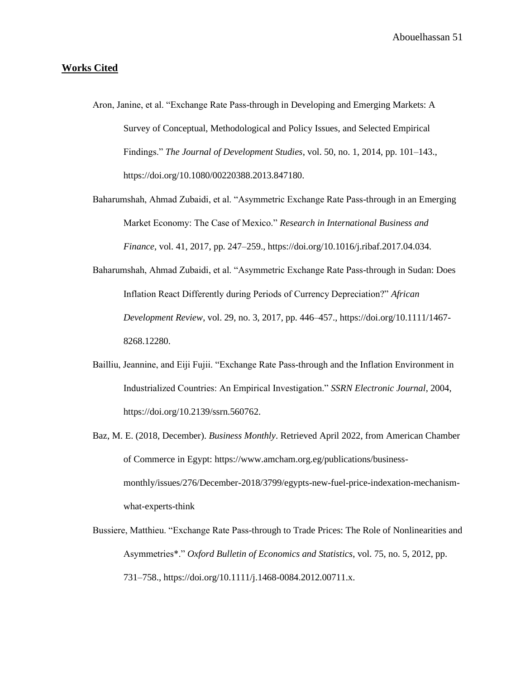### **Works Cited**

- Aron, Janine, et al. "Exchange Rate Pass-through in Developing and Emerging Markets: A Survey of Conceptual, Methodological and Policy Issues, and Selected Empirical Findings." *The Journal of Development Studies*, vol. 50, no. 1, 2014, pp. 101–143., https://doi.org/10.1080/00220388.2013.847180.
- Baharumshah, Ahmad Zubaidi, et al. "Asymmetric Exchange Rate Pass-through in an Emerging Market Economy: The Case of Mexico." *Research in International Business and Finance*, vol. 41, 2017, pp. 247–259., https://doi.org/10.1016/j.ribaf.2017.04.034.
- Baharumshah, Ahmad Zubaidi, et al. "Asymmetric Exchange Rate Pass-through in Sudan: Does Inflation React Differently during Periods of Currency Depreciation?" *African Development Review*, vol. 29, no. 3, 2017, pp. 446–457., https://doi.org/10.1111/1467- 8268.12280.
- Bailliu, Jeannine, and Eiji Fujii. "Exchange Rate Pass-through and the Inflation Environment in Industrialized Countries: An Empirical Investigation." *SSRN Electronic Journal*, 2004, https://doi.org/10.2139/ssrn.560762.
- Baz, M. E. (2018, December). *Business Monthly*. Retrieved April 2022, from American Chamber of Commerce in Egypt: https://www.amcham.org.eg/publications/businessmonthly/issues/276/December-2018/3799/egypts-new-fuel-price-indexation-mechanismwhat-experts-think
- Bussiere, Matthieu. "Exchange Rate Pass-through to Trade Prices: The Role of Nonlinearities and Asymmetries\*." *Oxford Bulletin of Economics and Statistics*, vol. 75, no. 5, 2012, pp. 731–758., https://doi.org/10.1111/j.1468-0084.2012.00711.x.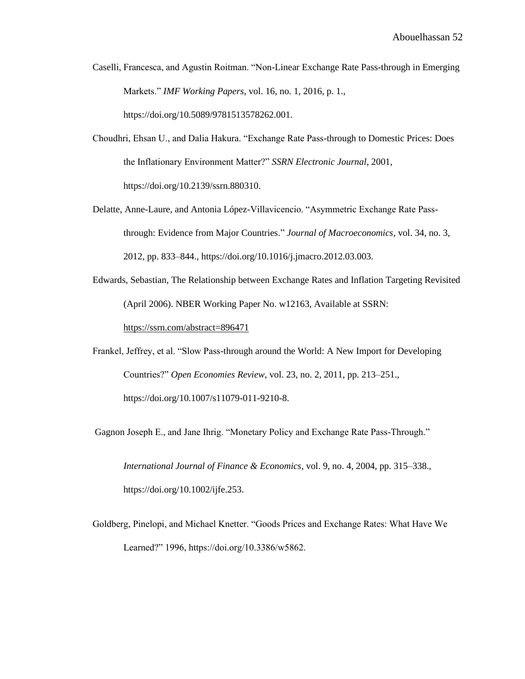- Caselli, Francesca, and Agustin Roitman. "Non-Linear Exchange Rate Pass-through in Emerging Markets." *IMF Working Papers*, vol. 16, no. 1, 2016, p. 1., https://doi.org/10.5089/9781513578262.001.
- Choudhri, Ehsan U., and Dalia Hakura. "Exchange Rate Pass-through to Domestic Prices: Does the Inflationary Environment Matter?" *SSRN Electronic Journal*, 2001, https://doi.org/10.2139/ssrn.880310.
- Delatte, Anne-Laure, and Antonia López-Villavicencio. "Asymmetric Exchange Rate Passthrough: Evidence from Major Countries." *Journal of Macroeconomics*, vol. 34, no. 3, 2012, pp. 833–844., https://doi.org/10.1016/j.jmacro.2012.03.003.
- Edwards, Sebastian, The Relationship between Exchange Rates and Inflation Targeting Revisited (April 2006). NBER Working Paper No. w12163, Available at SSRN:

<https://ssrn.com/abstract=896471>

Frankel, Jeffrey, et al. "Slow Pass-through around the World: A New Import for Developing Countries?" *Open Economies Review*, vol. 23, no. 2, 2011, pp. 213–251., https://doi.org/10.1007/s11079-011-9210-8.

Gagnon Joseph E., and Jane Ihrig. "Monetary Policy and Exchange Rate Pass-Through."

*International Journal of Finance & Economics*, vol. 9, no. 4, 2004, pp. 315–338., https://doi.org/10.1002/ijfe.253.

Goldberg, Pinelopi, and Michael Knetter. "Goods Prices and Exchange Rates: What Have We Learned?" 1996, https://doi.org/10.3386/w5862.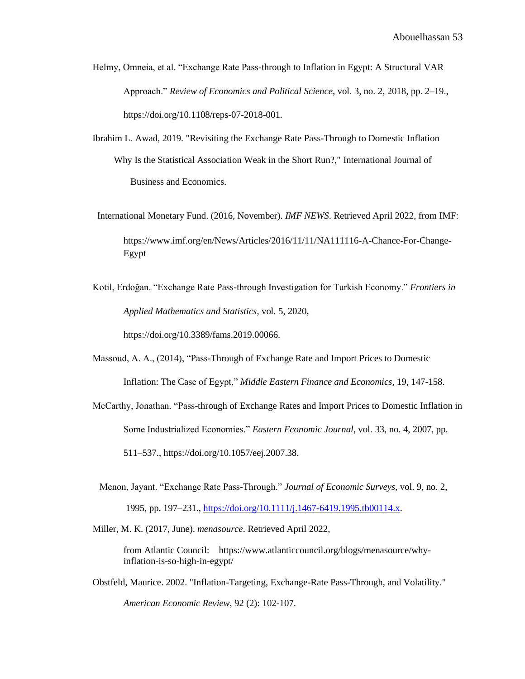- Helmy, Omneia, et al. "Exchange Rate Pass-through to Inflation in Egypt: A Structural VAR Approach." *Review of Economics and Political Science*, vol. 3, no. 2, 2018, pp. 2–19., https://doi.org/10.1108/reps-07-2018-001.
- Ibrahim L. Awad, 2019. ["Revisiting the Exchange Rate Pass-Through to Domestic Inflation](https://ideas.repec.org/a/ijb/journl/v18y2019i1p59-78.html)  Why Is the Statistical Association Weak in the Short Run?," International Journal of Business and Economics.
- International Monetary Fund. (2016, November). *IMF NEWS*. Retrieved April 2022, from IMF: https://www.imf.org/en/News/Articles/2016/11/11/NA111116-A-Chance-For-Change-Egypt
- Kotil, Erdoğan. "Exchange Rate Pass-through Investigation for Turkish Economy." *Frontiers in Applied Mathematics and Statistics*, vol. 5, 2020, https://doi.org/10.3389/fams.2019.00066.
- Massoud, A. A., (2014), "Pass-Through of Exchange Rate and Import Prices to Domestic Inflation: The Case of Egypt," *Middle Eastern Finance and Economics*, 19, 147-158.
- McCarthy, Jonathan. "Pass-through of Exchange Rates and Import Prices to Domestic Inflation in Some Industrialized Economies." *Eastern Economic Journal*, vol. 33, no. 4, 2007, pp. 511–537., https://doi.org/10.1057/eej.2007.38.
- Menon, Jayant. "Exchange Rate Pass-Through." *Journal of Economic Surveys*, vol. 9, no. 2, 1995, pp. 197–231., [https://doi.org/10.1111/j.1467-6419.1995.tb00114.x.](https://doi.org/10.1111/j.1467-6419.1995.tb00114.x)

Miller, M. K. (2017, June). *menasource*. Retrieved April 2022,

from Atlantic Council: https://www.atlanticcouncil.org/blogs/menasource/whyinflation-is-so-high-in-egypt/

Obstfeld, Maurice. 2002. "Inflation-Targeting, Exchange-Rate Pass-Through, and Volatility." *American Economic Review*, 92 (2): 102-107.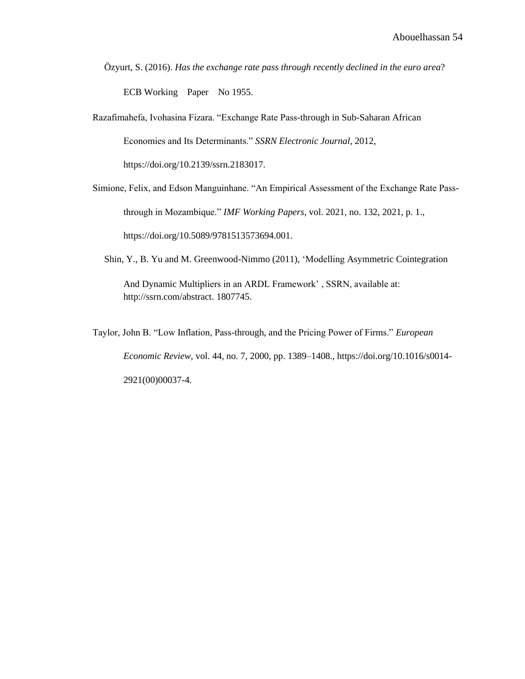Özyurt, S. (2016). *Has the exchange rate pass through recently declined in the euro area*? ECB Working Paper No 1955.

Razafimahefa, Ivohasina Fizara. "Exchange Rate Pass-through in Sub-Saharan African Economies and Its Determinants." *SSRN Electronic Journal*, 2012, https://doi.org/10.2139/ssrn.2183017.

Simione, Felix, and Edson Manguinhane. "An Empirical Assessment of the Exchange Rate Passthrough in Mozambique." *IMF Working Papers*, vol. 2021, no. 132, 2021, p. 1., https://doi.org/10.5089/9781513573694.001.

Shin, Y., B. Yu and M. Greenwood-Nimmo (2011), 'Modelling Asymmetric Cointegration

And Dynamic Multipliers in an ARDL Framework' , SSRN, available at: http://ssrn.com/abstract. 1807745.

Taylor, John B. "Low Inflation, Pass-through, and the Pricing Power of Firms." *European Economic Review*, vol. 44, no. 7, 2000, pp. 1389–1408., https://doi.org/10.1016/s0014- 2921(00)00037-4.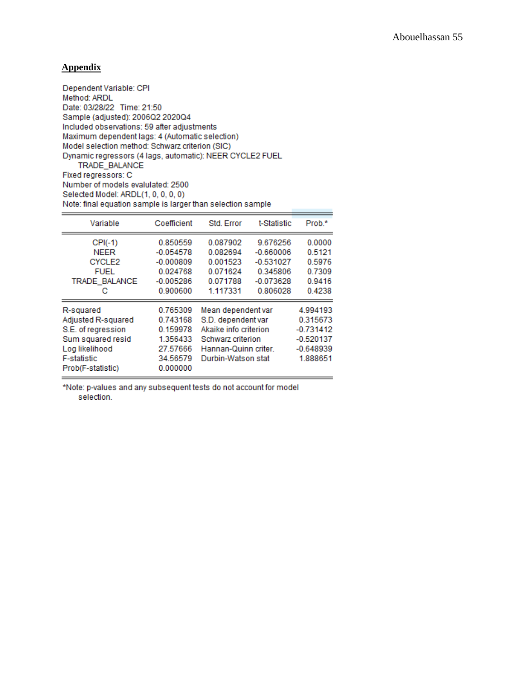### **Appendix**

Dependent Variable: CPI Method: ARDL Date: 03/28/22 Time: 21:50 Sample (adjusted): 2006Q2 2020Q4 Included observations: 59 after adjustments Maximum dependent lags: 4 (Automatic selection) Model selection method: Schwarz criterion (SIC) Dynamic regressors (4 lags, automatic): NEER CYCLE2 FUEL TRADE\_BALANCE Fixed regressors: C Number of models evalulated: 2500

Selected Model: ARDL(1, 0, 0, 0, 0) Note: final equation sample is larger than selection sample

| Variable                                                                                                                                | Coefficient                                                                      | Std. Error                                                                                                                           | t-Statistic                                                                   | Prob.*                                                                        |
|-----------------------------------------------------------------------------------------------------------------------------------------|----------------------------------------------------------------------------------|--------------------------------------------------------------------------------------------------------------------------------------|-------------------------------------------------------------------------------|-------------------------------------------------------------------------------|
| $CPI(-1)$<br><b>NEER</b><br>CYCLE <sub>2</sub><br><b>FUEL</b><br>TRADE_BALANCE<br>с                                                     | 0.850559<br>$-0.054578$<br>$-0.000809$<br>0.024768<br>$-0.005286$<br>0.900600    | 0.087902<br>0.082694<br>0.001523<br>0.071624<br>0.071788<br>1.117331                                                                 | 9.676256<br>$-0.660006$<br>$-0.531027$<br>0.345806<br>$-0.073628$<br>0.806028 | 0.0000<br>0.5121<br>0.5976<br>0.7309<br>0.9416<br>0.4238                      |
| R-squared<br>Adjusted R-squared<br>S.E. of regression<br>Sum squared resid<br>Log likelihood<br><b>F-statistic</b><br>Prob(F-statistic) | 0.765309<br>0.743168<br>0.159978<br>1.356433<br>27.57666<br>34.56579<br>0.000000 | Mean dependent var<br>S.D. dependent var<br>Akaike info criterion<br>Schwarz criterion<br>Hannan-Quinn criter.<br>Durbin-Watson stat |                                                                               | 4.994193<br>0.315673<br>$-0.731412$<br>$-0.520137$<br>$-0.648939$<br>1.888651 |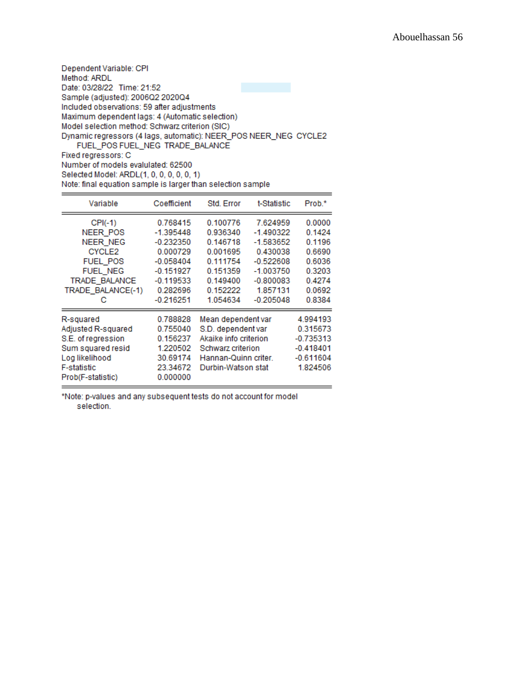| Dependent Variable: CPI                                                                             |  |
|-----------------------------------------------------------------------------------------------------|--|
| Method: ARDL                                                                                        |  |
| Date: 03/28/22 Time: 21:52                                                                          |  |
| Sample (adjusted): 2006Q2 2020Q4                                                                    |  |
| Included observations: 59 after adjustments                                                         |  |
| Maximum dependent lags: 4 (Automatic selection)                                                     |  |
| Model selection method: Schwarz criterion (SIC)                                                     |  |
| Dynamic regressors (4 lags, automatic): NEER_POS NEER_NEG CYCLE2<br>FUEL POS FUEL NEG TRADE BALANCE |  |
| Fixed regressors: C                                                                                 |  |
|                                                                                                     |  |

Number of models evalulated: 62500

Selected Model: ARDL(1, 0, 0, 0, 0, 0, 1)

Note: final equation sample is larger than selection sample

| Variable                                                                                                                                        | Coefficient                                                                                                                | Std. Error                                                                                                                           | t-Statistic                                                                                                                | Prob.*                                                                                 |
|-------------------------------------------------------------------------------------------------------------------------------------------------|----------------------------------------------------------------------------------------------------------------------------|--------------------------------------------------------------------------------------------------------------------------------------|----------------------------------------------------------------------------------------------------------------------------|----------------------------------------------------------------------------------------|
| $CPI(-1)$<br>NEER POS<br><b>NEER NEG</b><br>CYCLE <sub>2</sub><br><b>FUEL POS</b><br><b>FUEL NEG</b><br>TRADE BALANCE<br>TRADE_BALANCE(-1)<br>с | 0.768415<br>$-1.395448$<br>$-0.232350$<br>0.000729<br>$-0.058404$<br>$-0.151927$<br>$-0.119533$<br>0.282696<br>$-0.216251$ | 0.100776<br>0.936340<br>0.146718<br>0.001695<br>0.111754<br>0.151359<br>0.149400<br>0.152222<br>1.054634                             | 7.624959<br>$-1.490322$<br>$-1.583652$<br>0.430038<br>$-0.522608$<br>$-1.003750$<br>$-0.800083$<br>1.857131<br>$-0.205048$ | 0.0000<br>0.1424<br>0.1196<br>0.6690<br>0.6036<br>0.3203<br>0.4274<br>0.0692<br>0.8384 |
| R-squared<br>Adjusted R-squared<br>S.E. of regression<br>Sum squared resid<br>Log likelihood<br><b>F-statistic</b><br>Prob(F-statistic)         | 0.788828<br>0.755040<br>0.156237<br>1.220502<br>30.69174<br>23.34672<br>0.000000                                           | Mean dependent var<br>S.D. dependent var<br>Akaike info criterion<br>Schwarz criterion<br>Hannan-Quinn criter.<br>Durbin-Watson stat |                                                                                                                            | 4.994193<br>0.315673<br>$-0.735313$<br>$-0.418401$<br>$-0.611604$<br>1.824506          |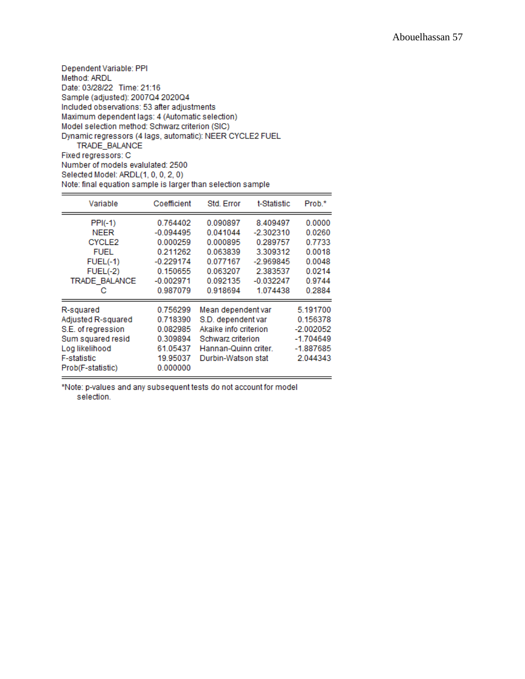| Dependent Variable: PPI                                  |
|----------------------------------------------------------|
| Method: ARDL                                             |
| Date: 03/28/22 Time: 21:16                               |
| Sample (adjusted): 2007Q4 2020Q4                         |
| Included observations: 53 after adjustments              |
| Maximum dependent lags: 4 (Automatic selection)          |
| Model selection method: Schwarz criterion (SIC)          |
| Dynamic regressors (4 lags, automatic): NEER CYCLE2 FUEL |
| TRADE BALANCE                                            |
| Fixed regressors: C                                      |
| Number of models evalulated: 2500                        |

Selected Model: ARDL(1, 0, 0, 2, 0)

Note: final equation sample is larger than selection sample

| Variable                                           | Coefficient | Std. Error            | t-Statistic | Prob.*      |
|----------------------------------------------------|-------------|-----------------------|-------------|-------------|
| $PPI(-1)$                                          | 0.764402    | 0.090897              | 8.409497    | 0.0000      |
| <b>NEER</b>                                        | $-0.094495$ | 0.041044              | $-2.302310$ | 0.0260      |
| CYCLE <sub>2</sub>                                 | 0.000259    | 0.000895              | 0.289757    | 0.7733      |
| <b>FUEL</b>                                        | 0.211262    | 0.063839              | 3.309312    | 0.0018      |
| $FUEL(-1)$                                         | $-0.229174$ | 0.077167              | $-2.969845$ | 0.0048      |
| $FUEL(-2)$                                         | 0.150655    | 0.063207              | 2.383537    | 0.0214      |
| TRADE BALANCE                                      | $-0.002971$ | 0.092135              | $-0.032247$ | 0.9744      |
| с                                                  | 0.987079    | 0.918694              | 1.074438    | 0.2884      |
| R-squared                                          | 0.756299    | Mean dependent var    |             | 5.191700    |
| Adjusted R-squared                                 | 0.718390    | S.D. dependent var    |             | 0.156378    |
| S.E. of regression                                 | 0.082985    | Akaike info criterion |             | $-2.002052$ |
| Sum squared resid                                  | 0.309894    | Schwarz criterion     |             | $-1.704649$ |
| Log likelihood<br>61.05437<br>Hannan-Quinn criter. |             | $-1.887685$           |             |             |
| <b>F-statistic</b>                                 | 19.95037    | Durbin-Watson stat    |             | 2.044343    |
| Prob(F-statistic)                                  | 0.000000    |                       |             |             |